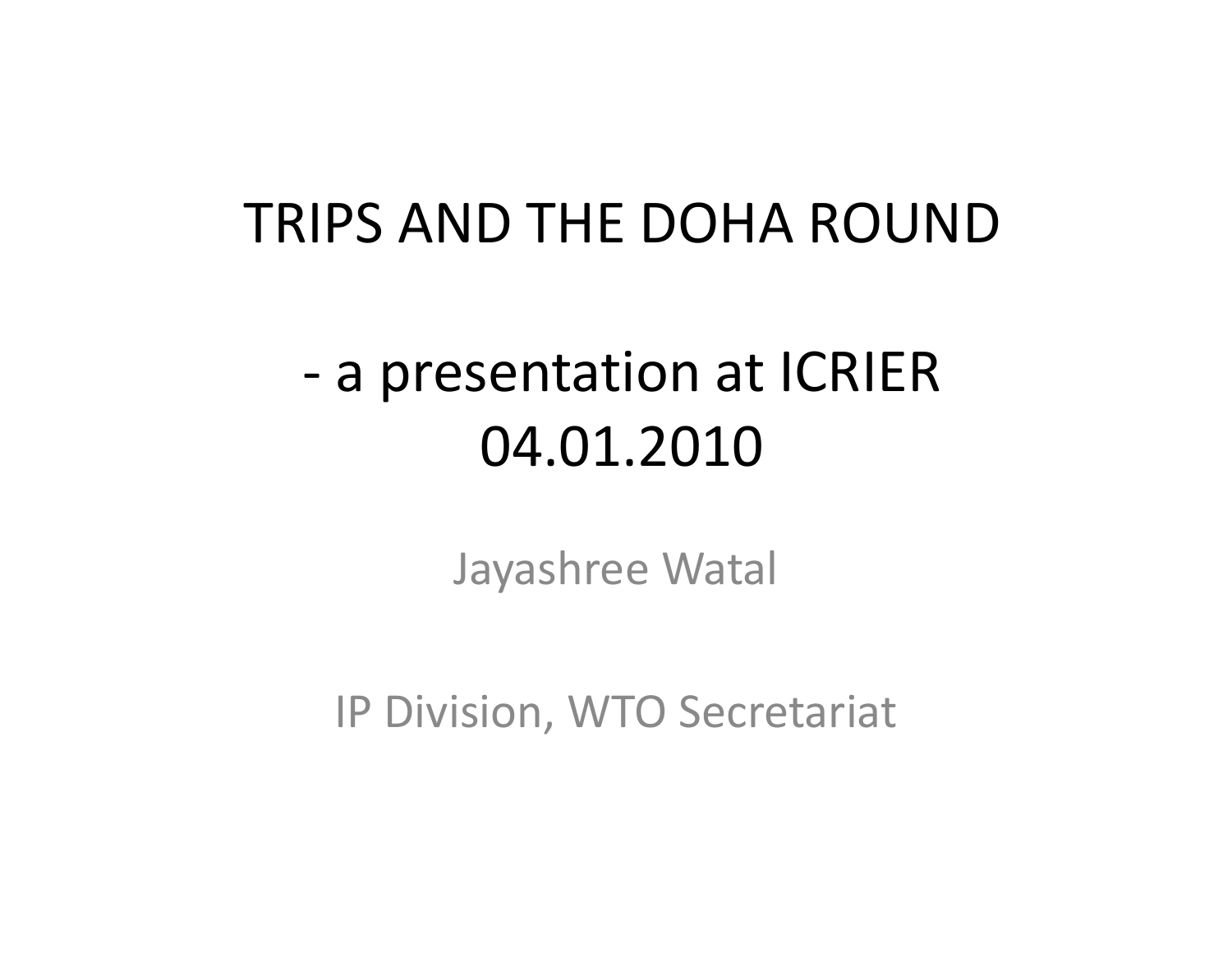### TRIPS AND THE DOHA ROUND

## ‐ a presentation at ICRIER 04.01.2010

Jayashree Watal

IP Division, WTO Secretariat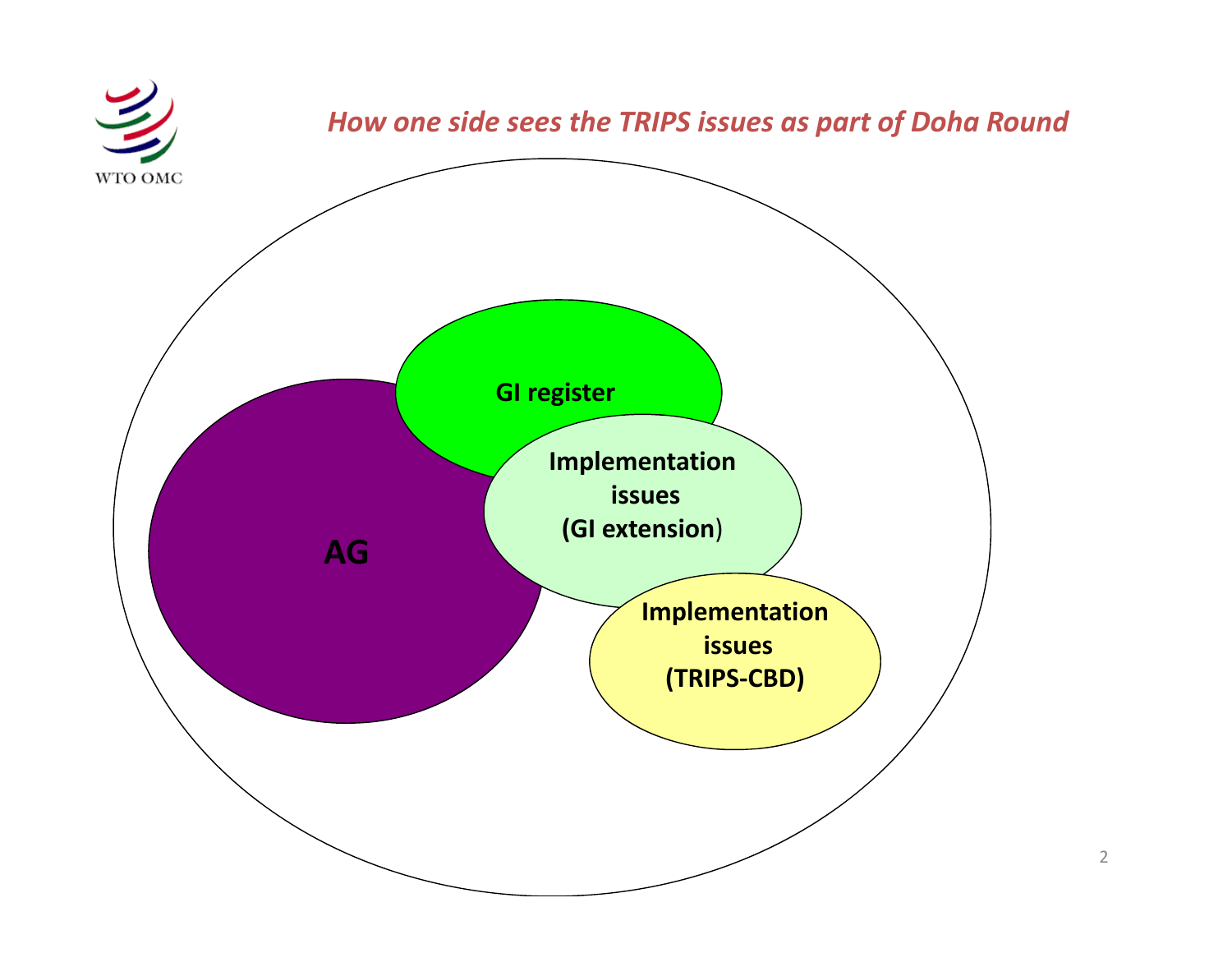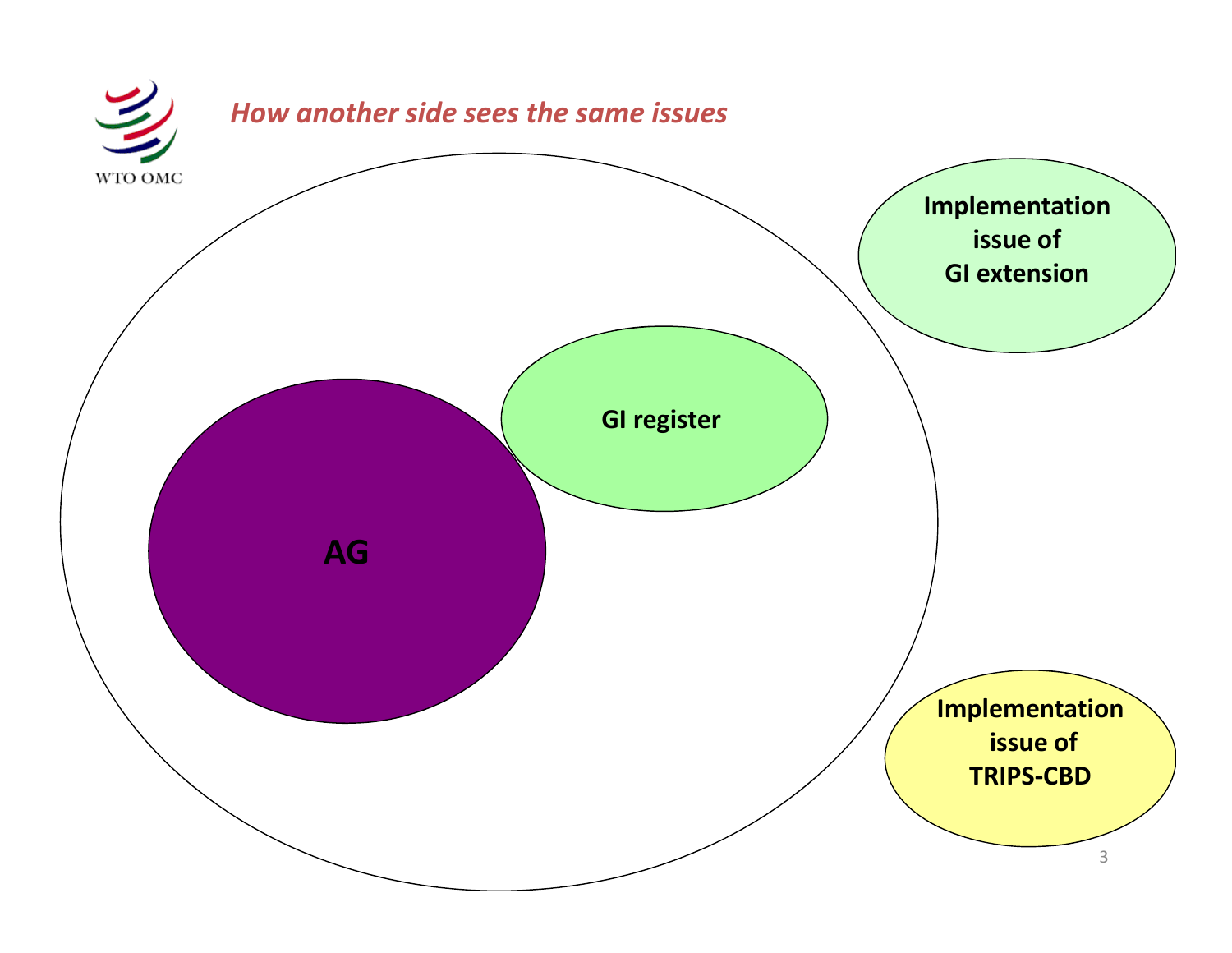![](_page_2_Figure_0.jpeg)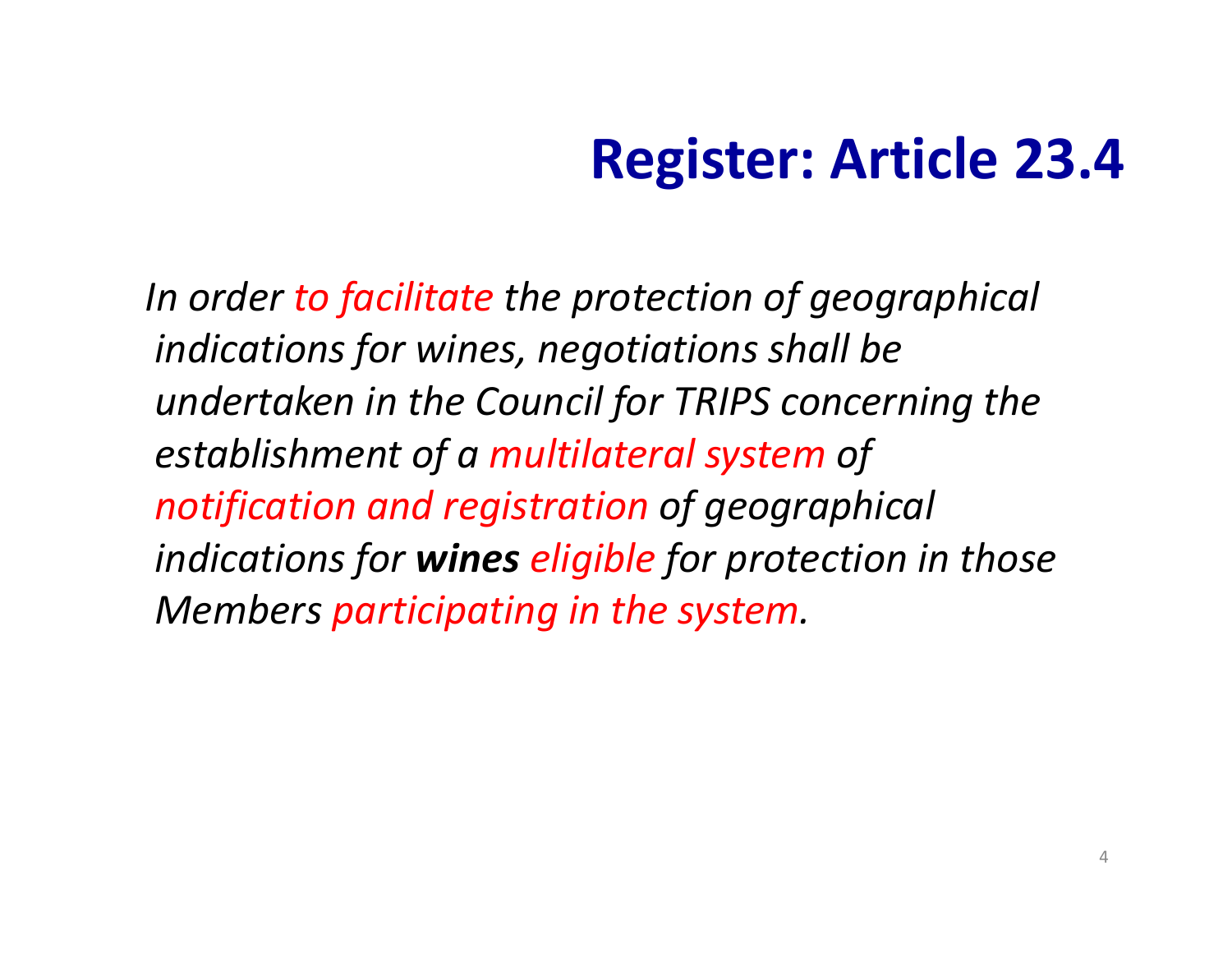## **Register: Article 23.4**

*In order to facilitate the protection of geographical indications for wines, negotiations shall be undertaken in the Council for TRIPS concerning the establishment of <sup>a</sup> multilateral system of notification and registration of geographical indications for wines eligible for protection in those Members participating in the system.*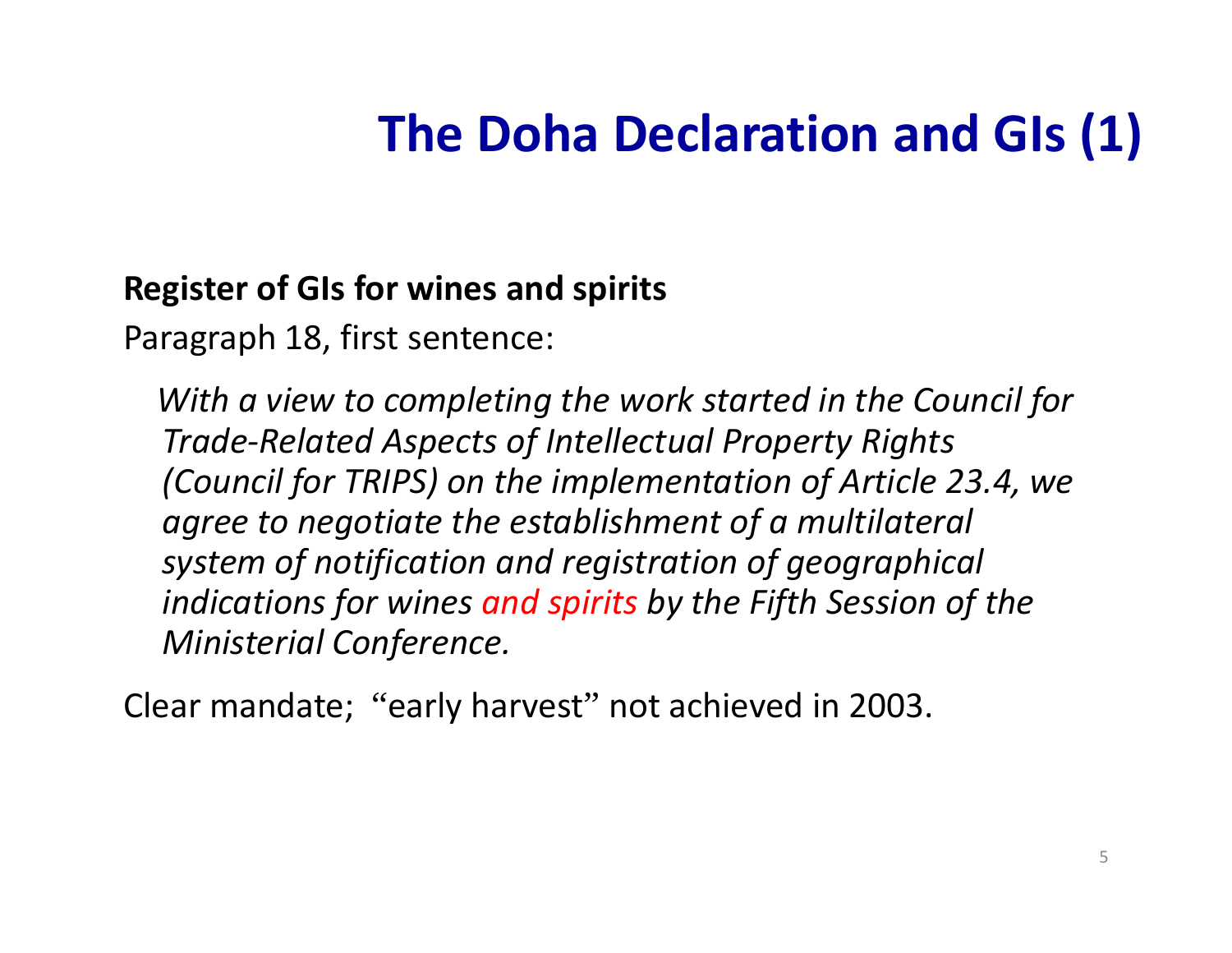### **The Doha Declaration and GIs (1)**

#### **Register of GIs for wines and spirits**

Paragraph 18, first sentence:

*With a view to comp g letin the work started in the Council for Trade‐Related Aspects of Intellectual Property Rights (Council for TRIPS) on the implementation of Article 23.4, we agree to negotiate the establishment of <sup>a</sup> multilateral system of notification and registration of geographical indications for wines and spirits by the Fifth Session of the Ministerial Conference.*

Clear mandate; "early harvest" not achieved in 2003.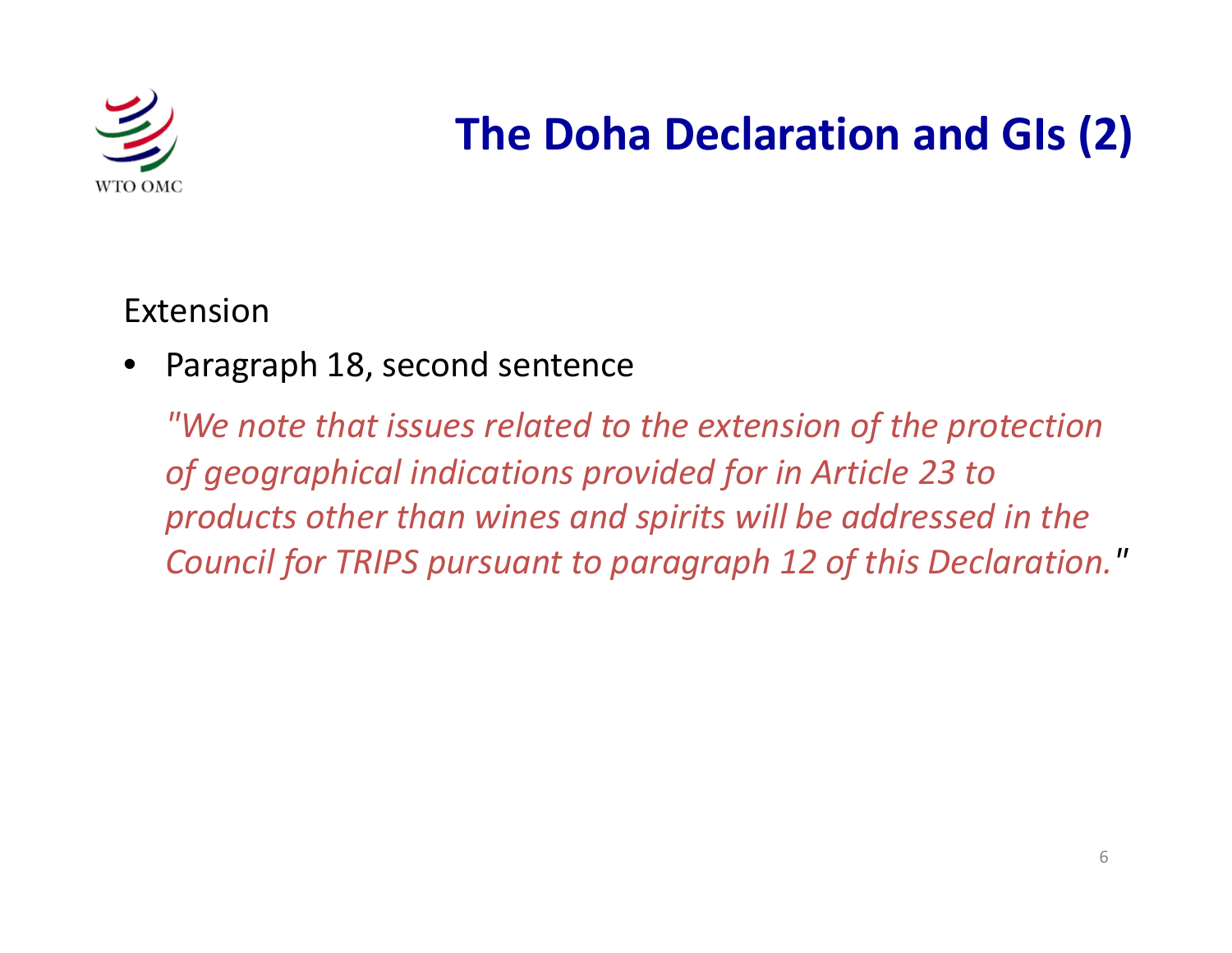![](_page_5_Picture_0.jpeg)

#### **The Doha Declaration and GIs (2)**

Extension

•Paragraph 18, second sentence

"We note that issues related to the extension of the protection *of geographical indications provided for in Article 23 to products other than wines and spirits will be addressed in the Council for TRIPS pursuant to paragraph 12 of this Declaration."*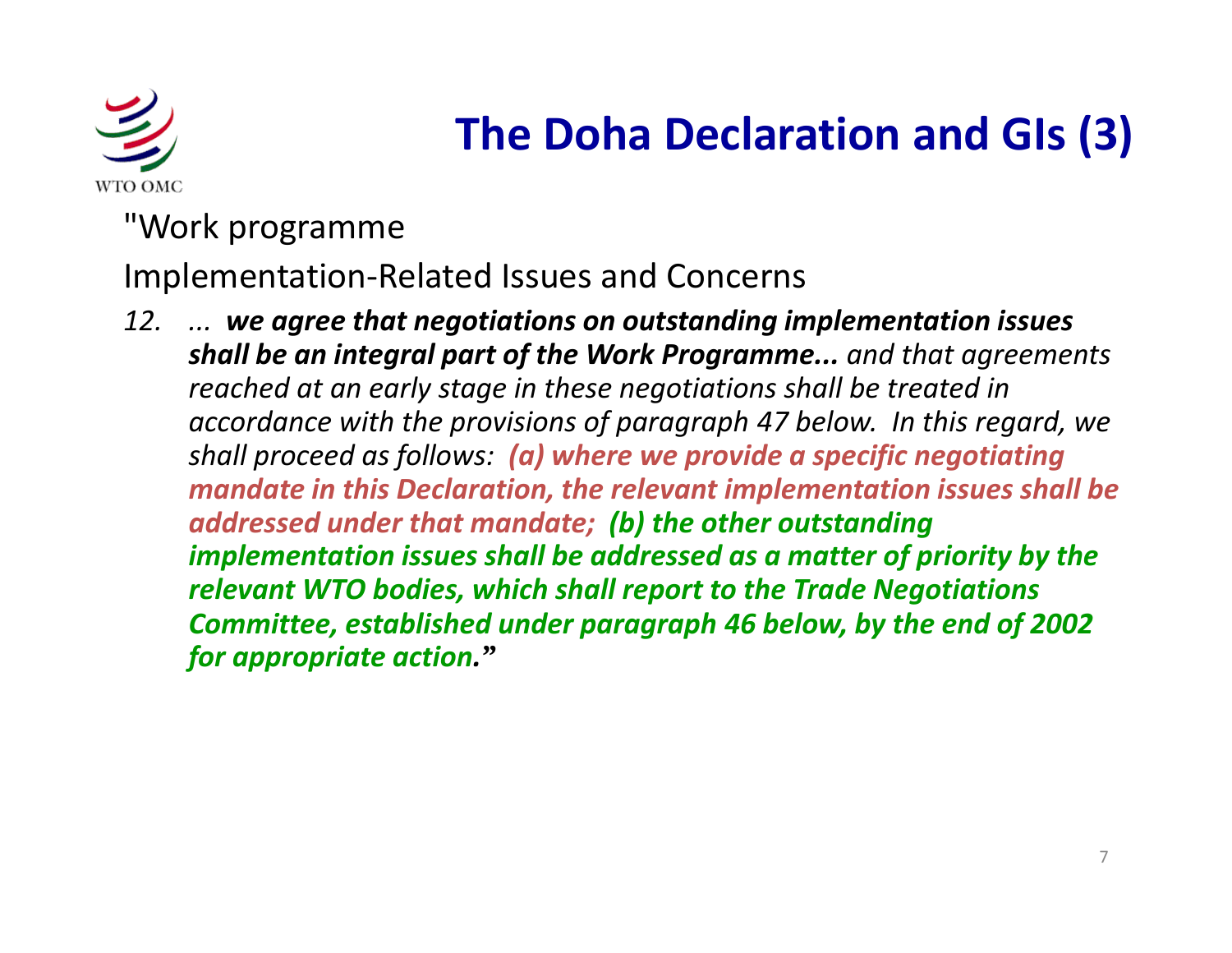![](_page_6_Picture_0.jpeg)

#### **The Doha Declaration and GIs (3)**

"Work programme

Implementation‐Related Issues and Concerns

*12. ... we agree that negotiations on outstanding implementation issues shall be an integral part of the Work Programme... and that agreements reached at an early stage in these negotiations shall be treated in accordance with the provi is ons of paragraph 47 b l <sup>e</sup> ow. In this regard, we shall proceed as follows: (a) where we provide <sup>a</sup> specific negotiating mandate in this Declaration, the relevant implementation issues shall be addressed under that mandate; ( ) b the other outstanding implementation issues shall be addressed as <sup>a</sup> matter of priority by the relevant WTO bodies, which shall report to the Trade Negotiations Committee, established under paragraph 46 below, by the end of 2002 for appropriate action."*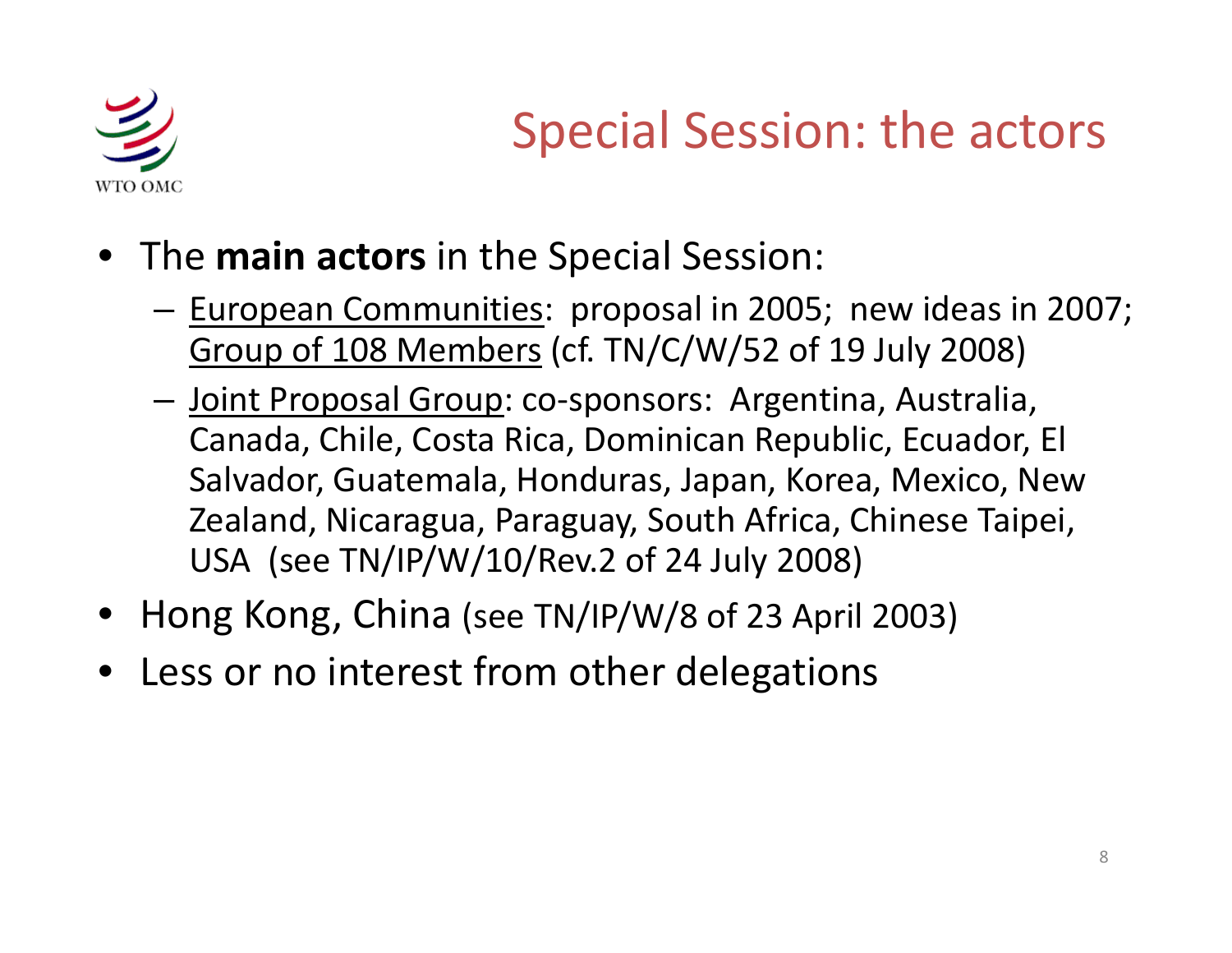![](_page_7_Picture_0.jpeg)

## Special Session: the actors

- The **main actors** in the Special Session:
	- and the state of the — <u>European Communities</u>: proposal in 2005; new ideas in 2007; Group of 108 Members (cf. TN/C/W/52 of 19 July 2008)
	- –— <u>Joint Proposal Group</u>: co-sponsors: Argentina, Australia, Canada, Chile, Costa Rica, Dominican Republic, Ecuador, El Salvador, Guatemala, Honduras, Japan, Korea, Mexico, New Zealand, Nicaragua, Paraguay, South Africa, Chinese Taipei, USA (see TN/IP/W/10/Rev.2 of 24 July 2008)
- •Hong Kong, China (see TN/IP/W/8 of <sup>23</sup> April 2003)
- •Less or no interest from other delegations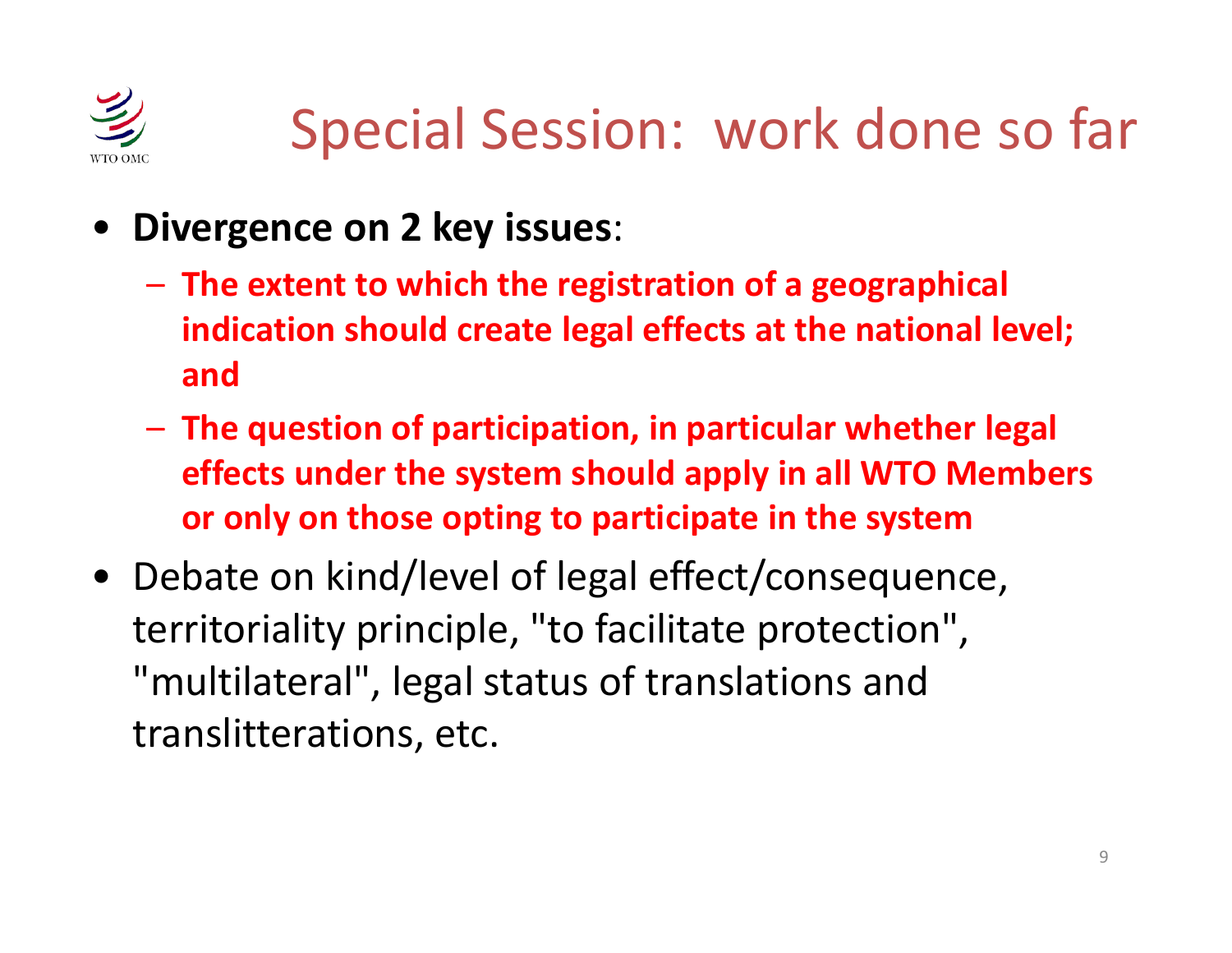![](_page_8_Picture_0.jpeg)

# Special Session: work done so far

- • **Divergence on 2 key issues**:
	- **The extent to which the registration of <sup>a</sup> geographical indication should create legal effects at the national level; and**
	- $-$  The question of participation, in particular whether legal  $\,$ **effects under the system should apply in all WTO Members or only on those op g tin to p p articipate in the system**
- Debate on kind/level of legal effect/consequence, territoriality principle, "to facilitate protection", "multilateral", legal status of translations and translitterations, etc.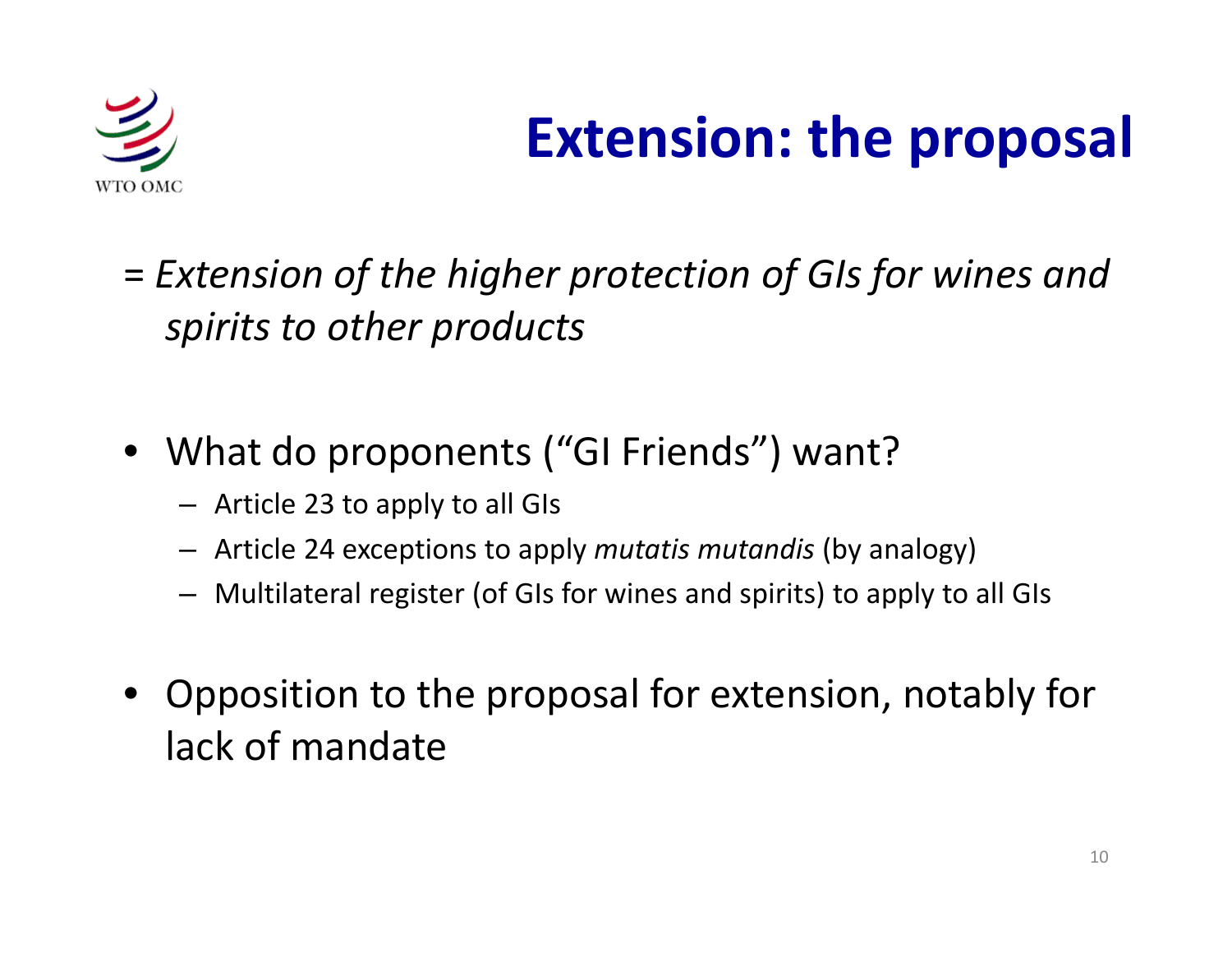![](_page_9_Picture_0.jpeg)

## **Extension: the proposal**

- = *Extension of the higher protection of GIs for wines and spirits to other products*
- What do proponents ("GI Friends") want?
	- Article 23 to apply to all GIs
	- Article 24 exceptions to apply *mutatis mutandis* (by analogy)
	- Multilateral register (of GIs for wines and spirits) to apply to all GIs
- Opposition to the proposal for extension, notably for lack of mandate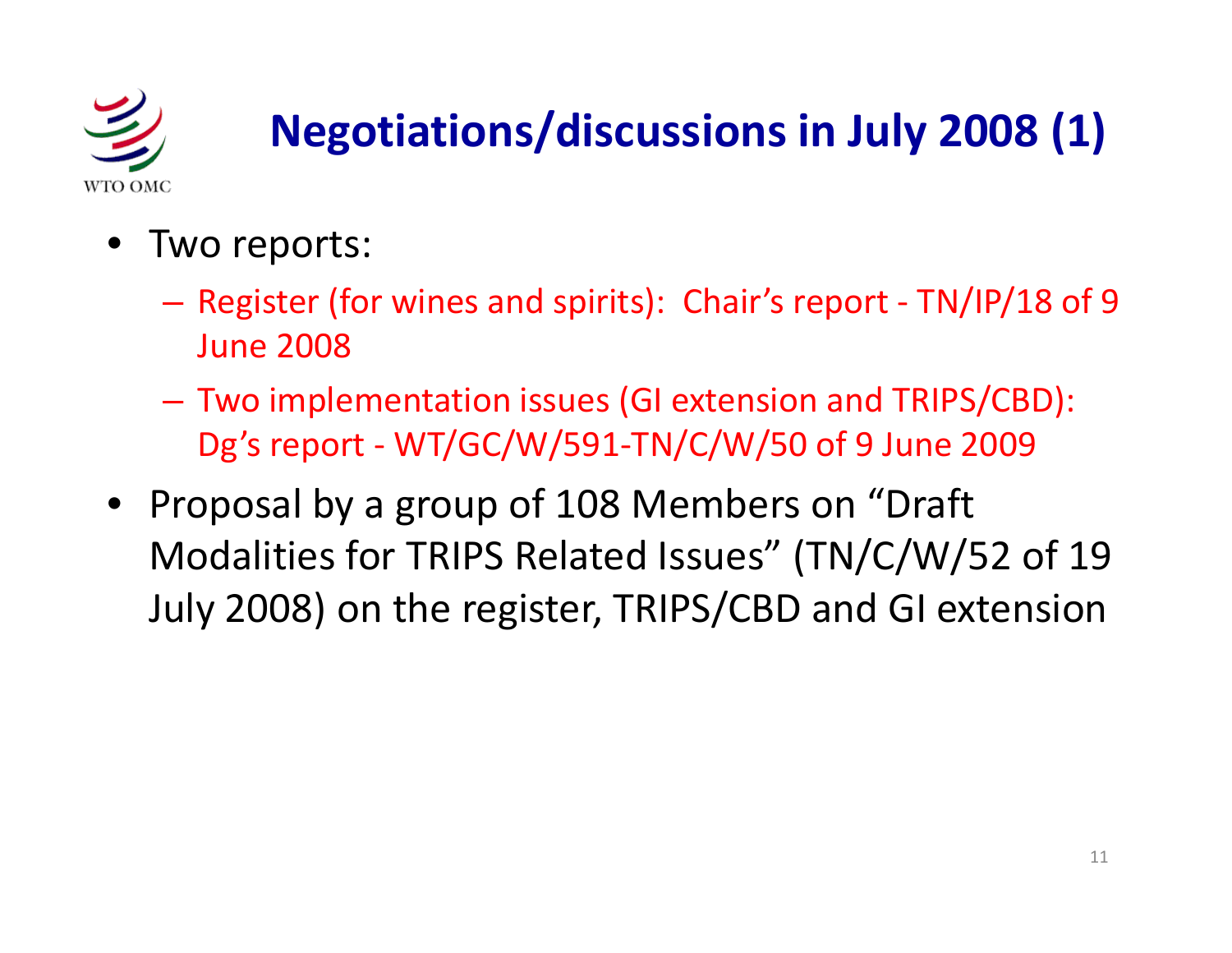![](_page_10_Picture_0.jpeg)

## **Negotiations/discussions in July 2008 (1)**

- Two reports:
	- –- Register (for wines and spirits): Chair's report - TN/IP/18 of 9 June 2008
	- Two implementation issues (GI extension and TRIPS/CBD): Dg's report - WT/GC/W/591-TN/C/W/50 of 9 June 2009
- Proposal by a group of 108 Members on "Draft Modalities for TRIPS Related Issues" (TN/C/W/52 of 19 July 2008) on the register, TRIPS/CBD and GI extension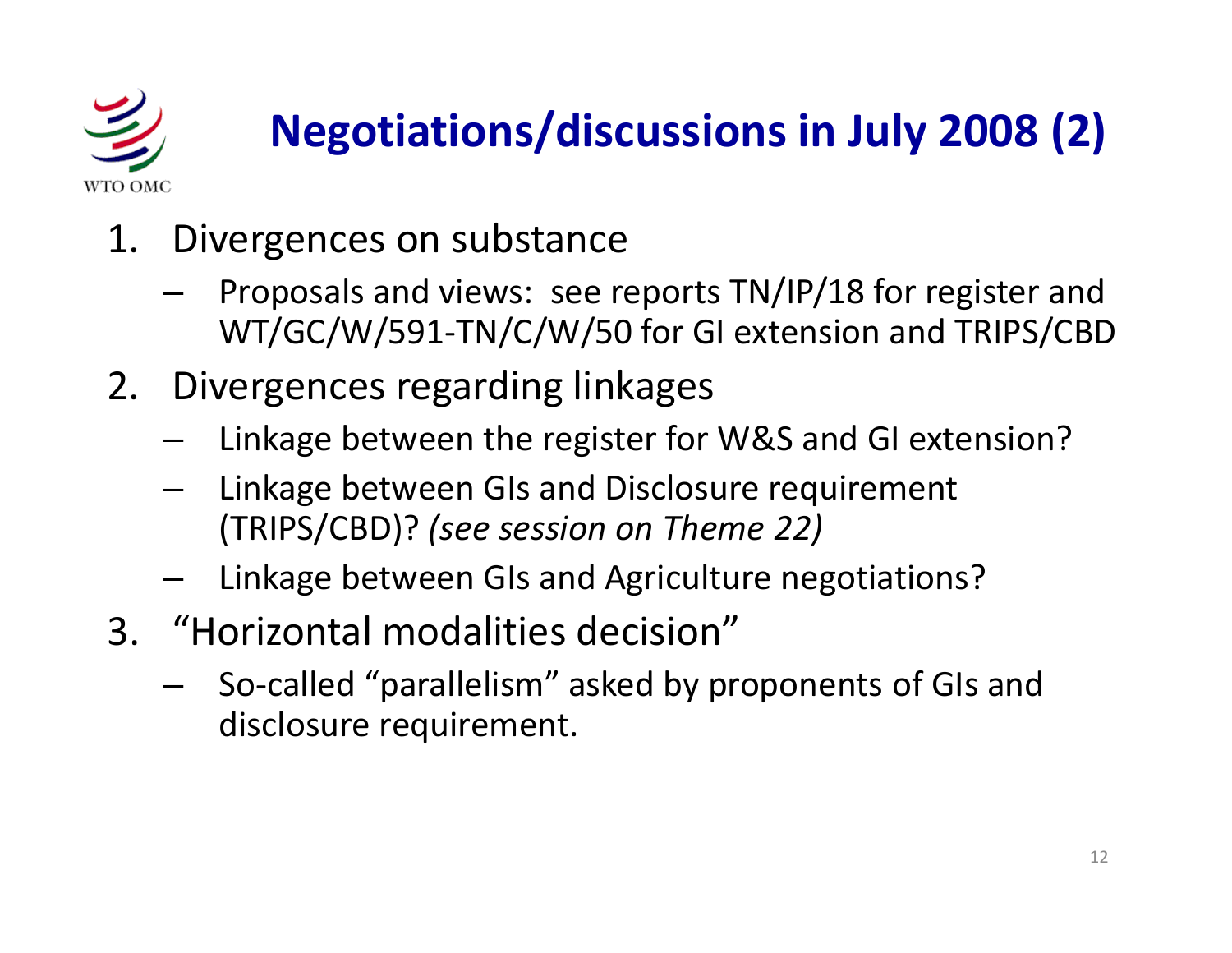![](_page_11_Picture_0.jpeg)

## **Negotiations/discussions in July 2008 (2)**

- 1. Divergences on substance
	- Proposals and views: see reports TN/IP/18 for register and WT/GC/W/591 ‐TN/C/W/50 for GI extension and TRIPS/CBD
- 2. Divergences regarding linkages
	- Linkage between the register for W&S and GI extension?
	- – $-$  Linkage between GIs and Disclosure requirement (TRIPS/CBD)? *(see session on Theme 22)*
	- –Linkage between GIs and Agriculture negotiations?
- 3. "Horizontal modalities decision"
	- So ‐called "parallelism" asked by proponents of GIs and disclosure requirement.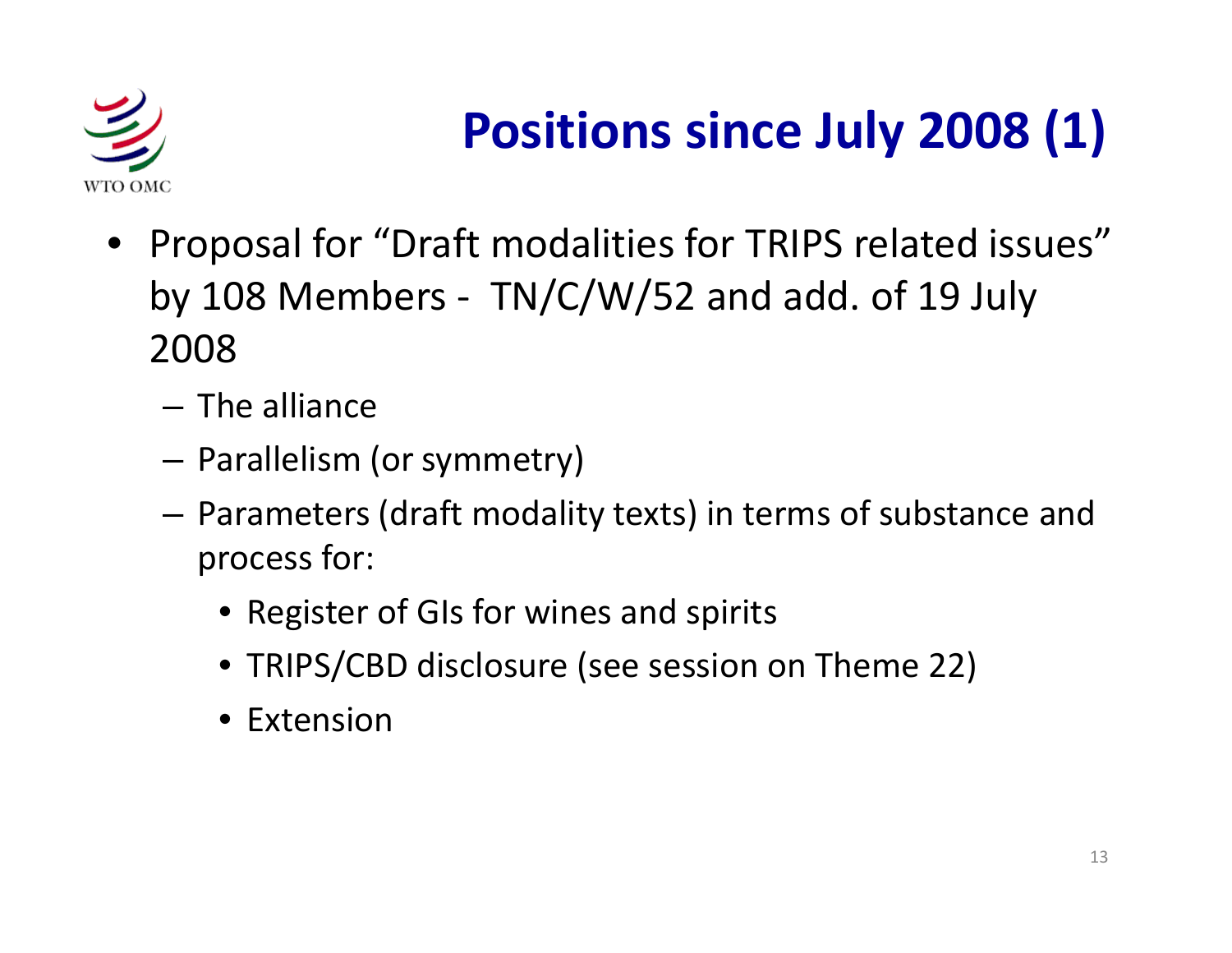![](_page_12_Picture_0.jpeg)

## **Positions since July 2008 (1)**

- Proposal for "Draft modalities for TRIPS related issues" by 108 Members -  $TN/C/W/52$  and add. of 19 July 2008
	- The alliance
	- Parallelism (or symmetry)
	- Parameters (draft modality texts) in terms of substance and process for:
		- Register of GIs for wines and spirits
		- TRIPS/CBD disclosure (see session on Theme 22)
		- Extension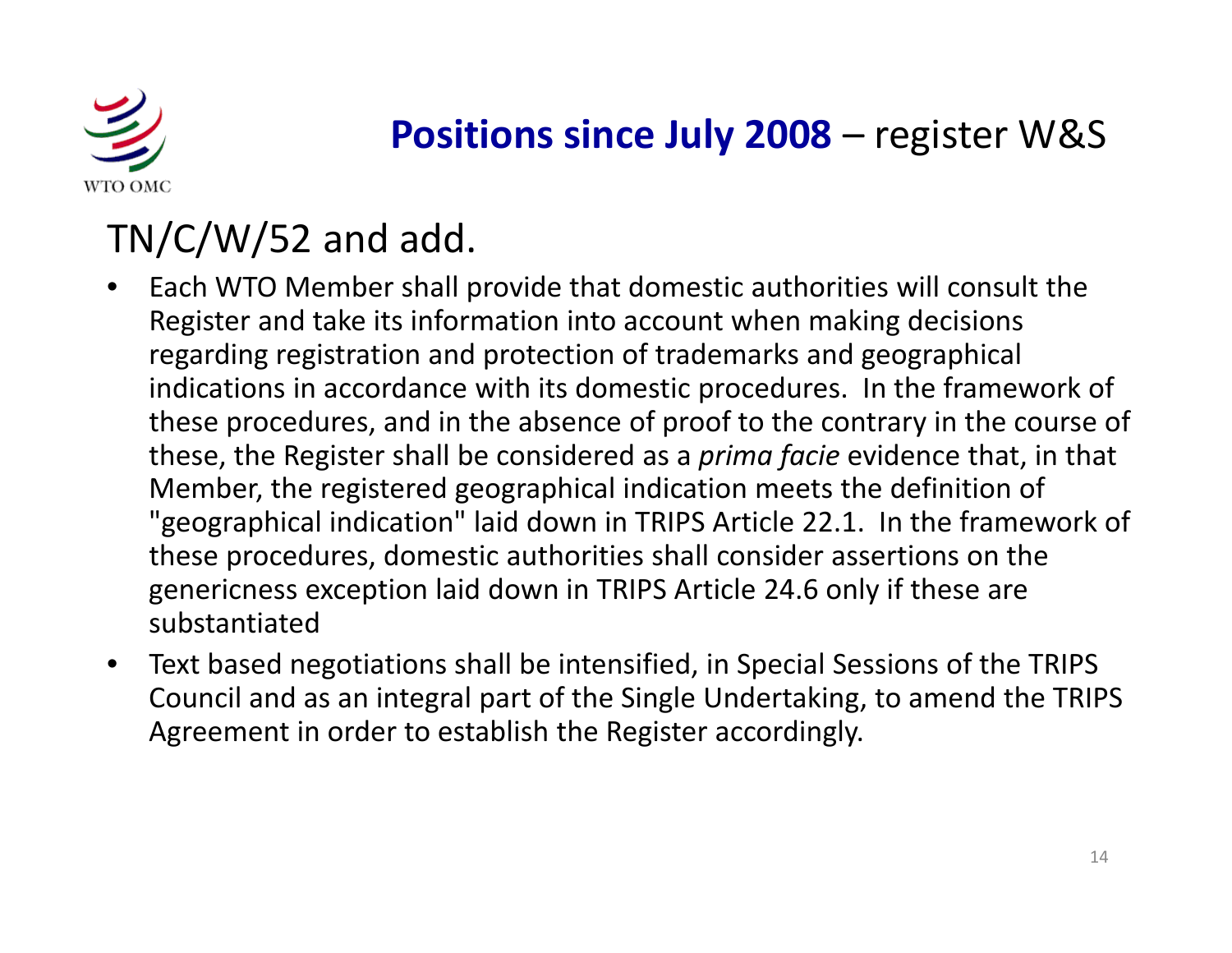![](_page_13_Picture_0.jpeg)

#### **Positions since July 2008** – register W&S

#### TN/C/W/52 and add.

- • Each WTO Member shall provide that domestic authorities will consult the Register and take its information into account when making decisions regarding registration and protection of trademarks and geographical indications in accordance with its domestic procedures. In the framework of these procedures, and in the absence of proof to the contrary in the course of these, the Register shall be considered as <sup>a</sup> *prima facie* evidence that, in that Member, the registered geographical indication meets the definition of "geographical indication" laid down in TRIPS Article 22.1. In the framework of these procedures, domestic authorities shall consider assertions on the genericness exception laid down in TRIPS Article 24.6 only if these are substantiated
- $\bullet$  $\bullet$  Text based negotiations shall be intensified, in Special Sessions of the TRIPS Council and as an integral part of the Single Undertaking, to amend the TRIPS Agreement in order to establish the Register accordingly.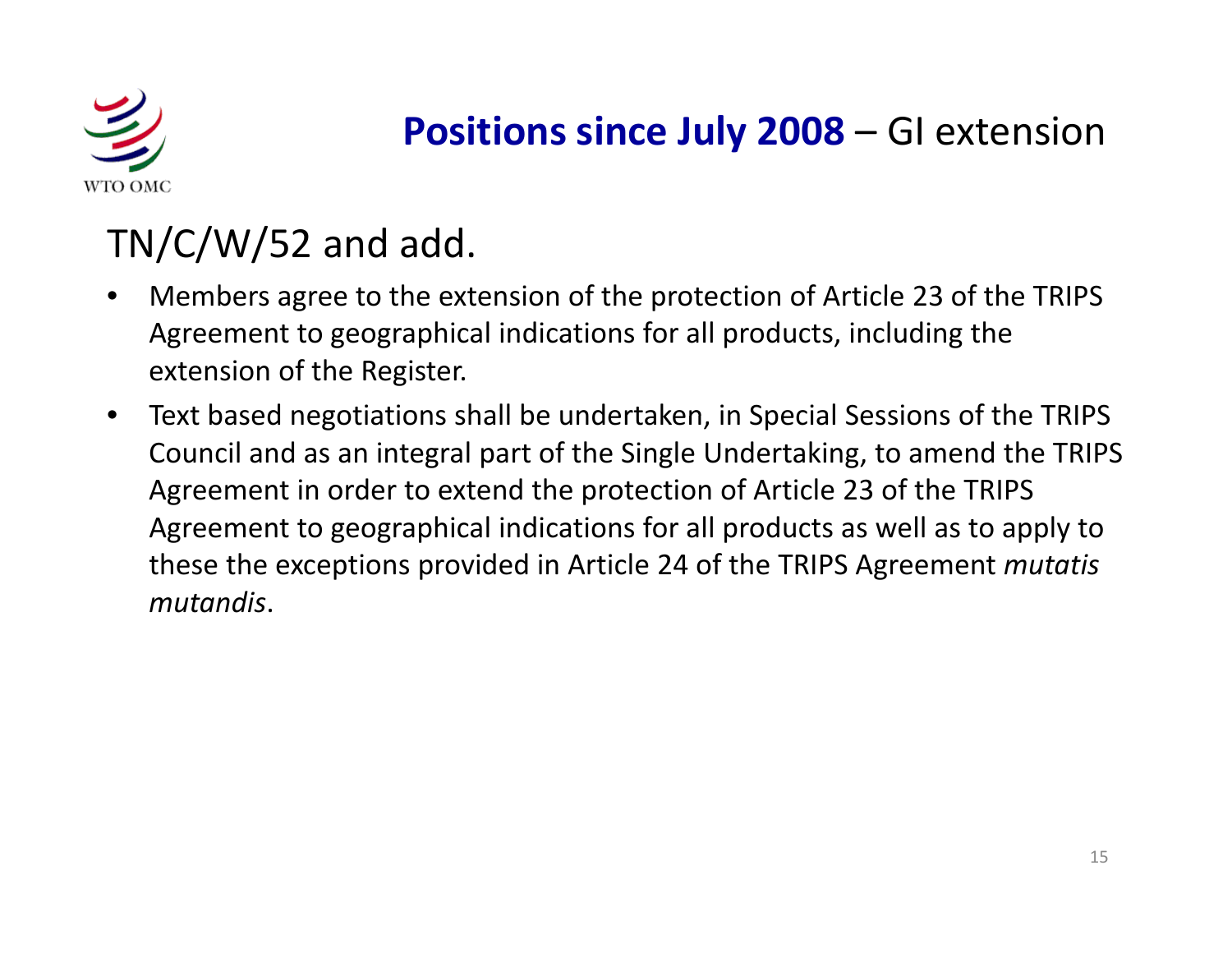![](_page_14_Picture_0.jpeg)

#### **Positions since July 2008** – GI extension

#### TN/C/W/52 and add.

- • Members agree to the extension of the protection of Article 23 of the TRIPS Agreement to geographical indications for all products, including the extension of the Register.
- $\bullet$ • Text based negotiations shall be undertaken, in Special Sessions of the TRIPS Council and as an integral part of the Single Undertaking, to amend the TRIPS Agreement in order to extend the protection of Article 23 of the TRIPS Agreement to geographical indications for all products as well as to apply to these the exceptions provided in Article 24 of the TRIPS Agreement *mutatis mutandis*.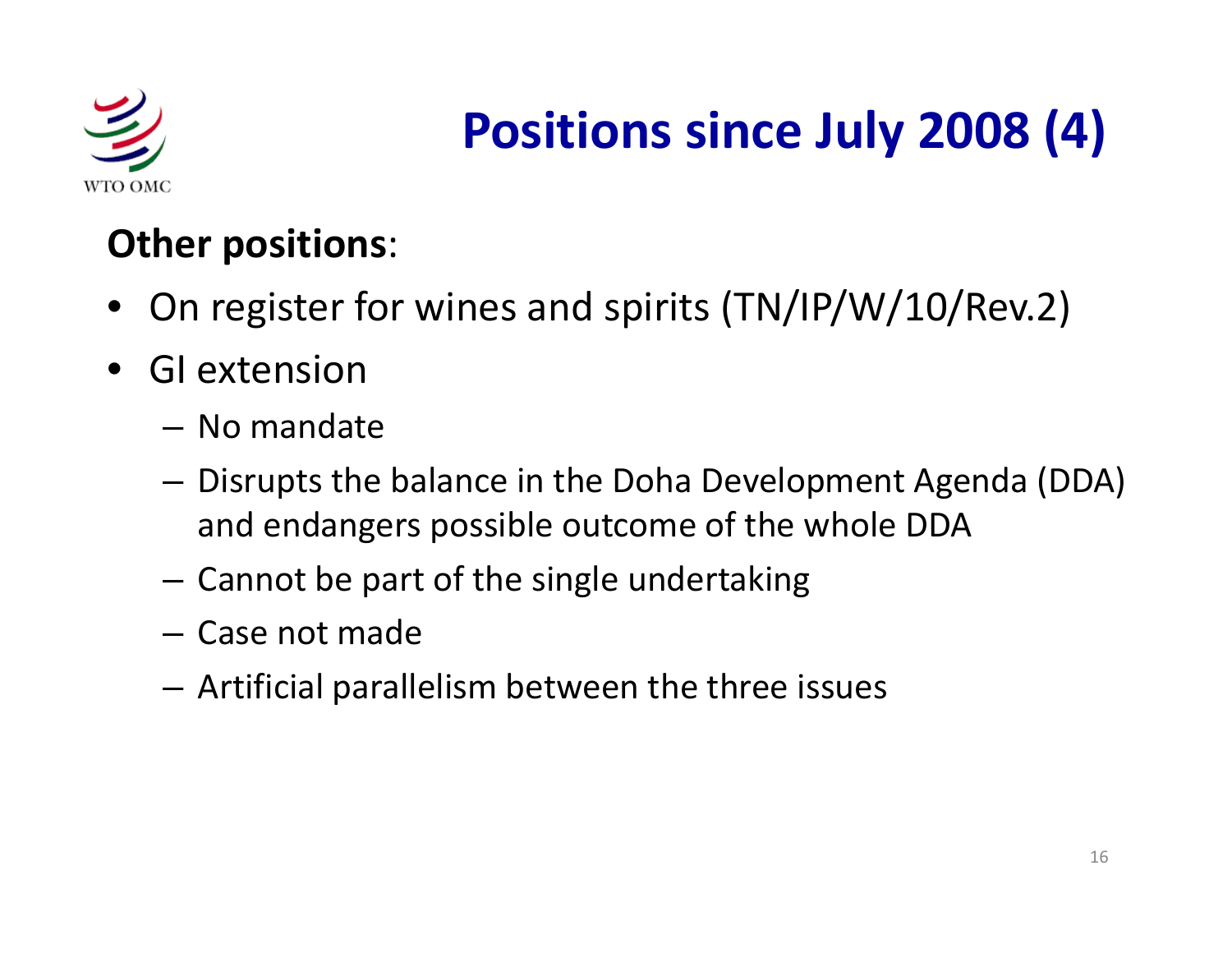![](_page_15_Picture_0.jpeg)

## **Positions since July 2008 (4)**

#### **Other positions**:

- On register for wines and spirits (TN/IP/W/10/Rev.2)
- • GI extension
	- No mandate
	- $-$  Disrupts the balance in the Doha Development Agenda (DDA) and endangers possible outcome of the whole DDA
	- – $-$  Cannot be part of the single undertaking
	- Case not made
	- $-$  Artificial parallelism between the three issues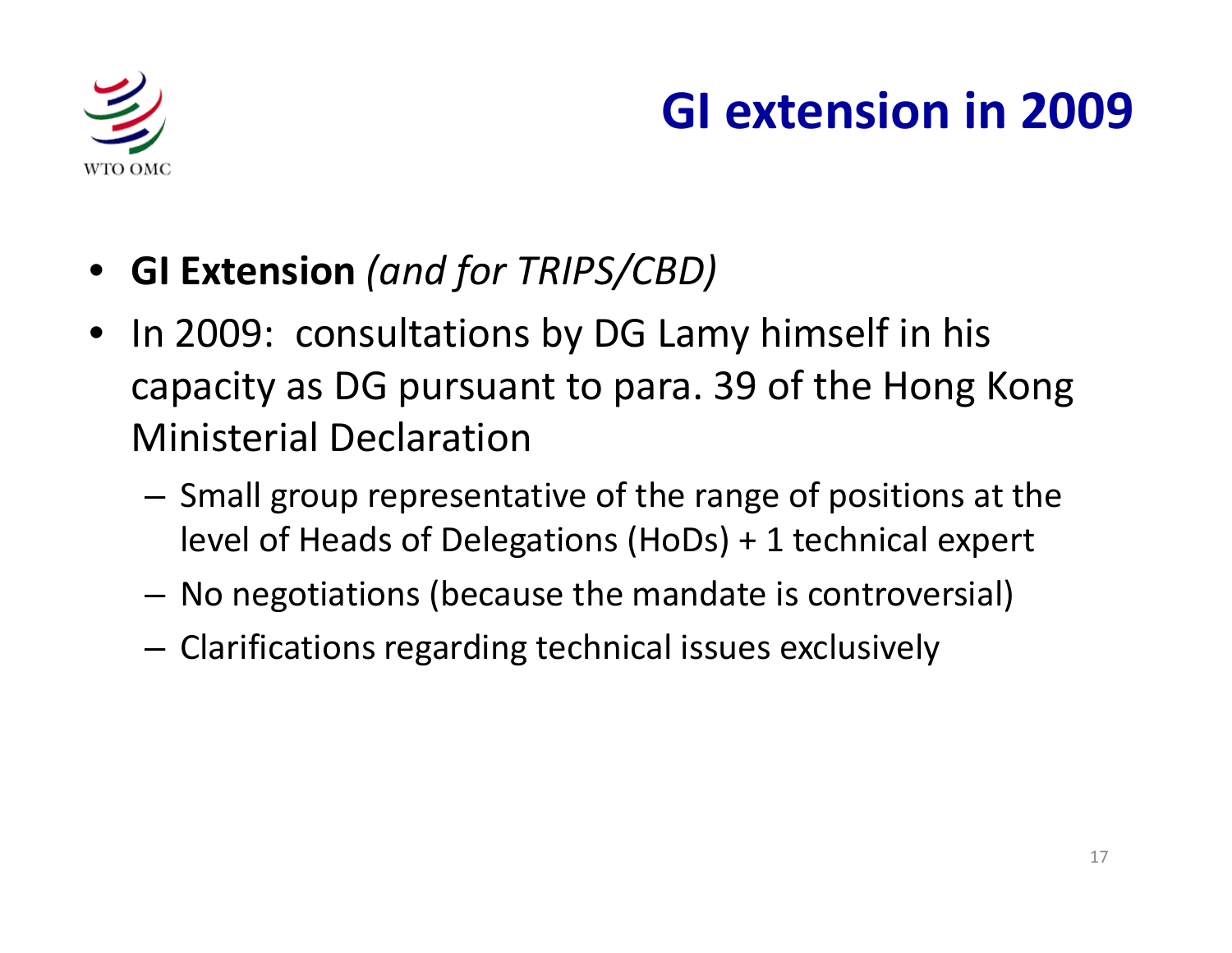![](_page_16_Picture_0.jpeg)

## **GI extension in 2009**

- **GI Extension** *(and for TRIPS/CBD)*
- In 2009: consultations by DG Lamy himself in his capacity as DG pursuant to para. 39 of the Hong Kong Ministerial Declaration
	- – $-$  Small group representative of the range of positions at the level of Heads of Delegations (HoDs) <sup>+</sup> 1 technical expert
	- –No negotiations (because the mandate is controversial)
	- – $-$  Clarifications regarding technical issues exclusively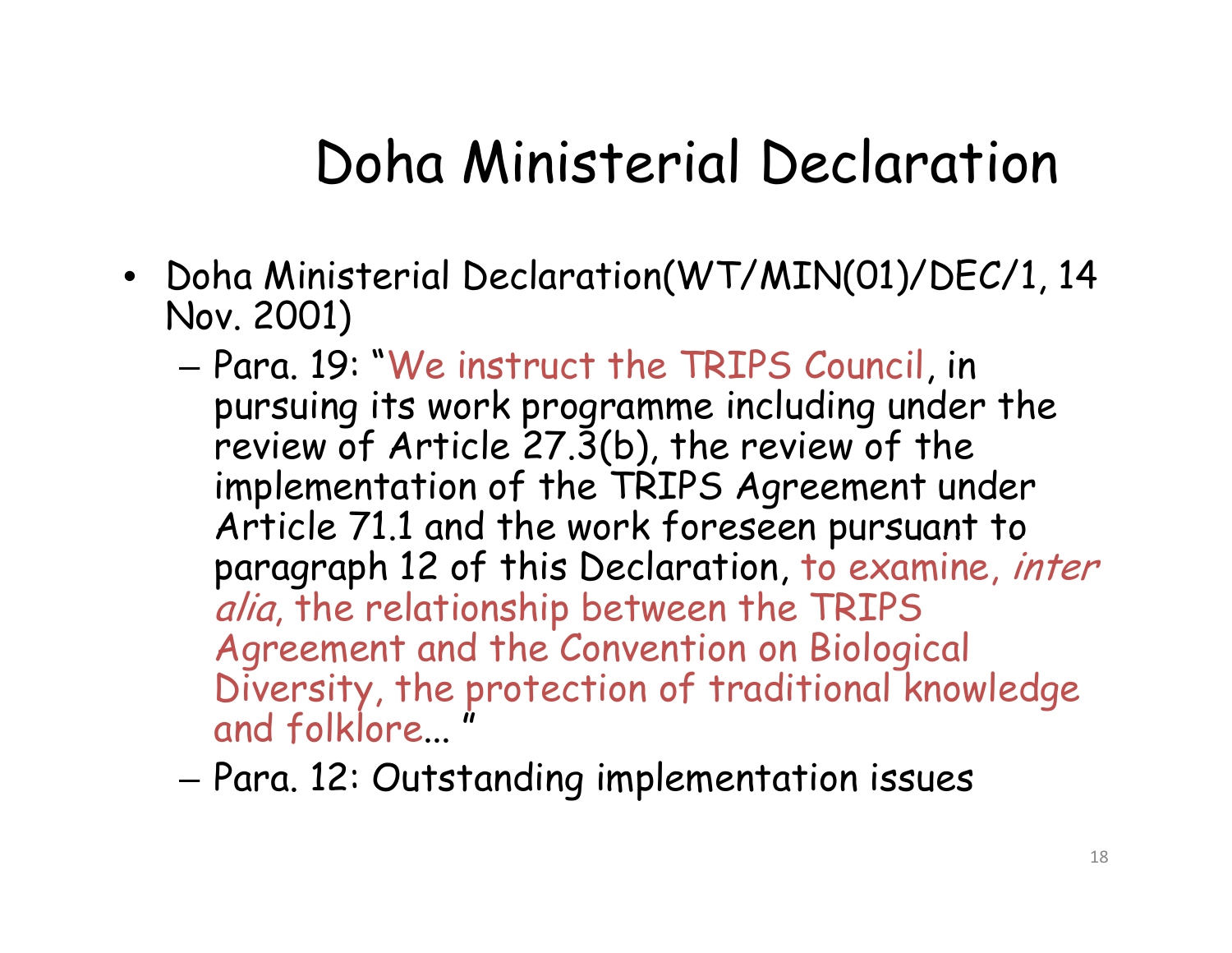## Doha Ministerial Declaration

- Doha Ministerial Declaration(WT/MIN(01)/DEC/1, 14 Nov. 2001)
	- Para. 19: "We instruct the TRIPS Council, in pursuing its work programme including under the review of Article 27.3(b), the review of the implementation of the TRIPS Agreement under Article 71.1 and the work foreseen pursuant to paragraph 12 of this Declaration, to examine, inter alia, the relationship between the TRIPS Agreement and the Convention on Biological Diversity, the protection of traditional knowledge and folklore... "
	- Para. 12: Outstanding implementation issues – Para.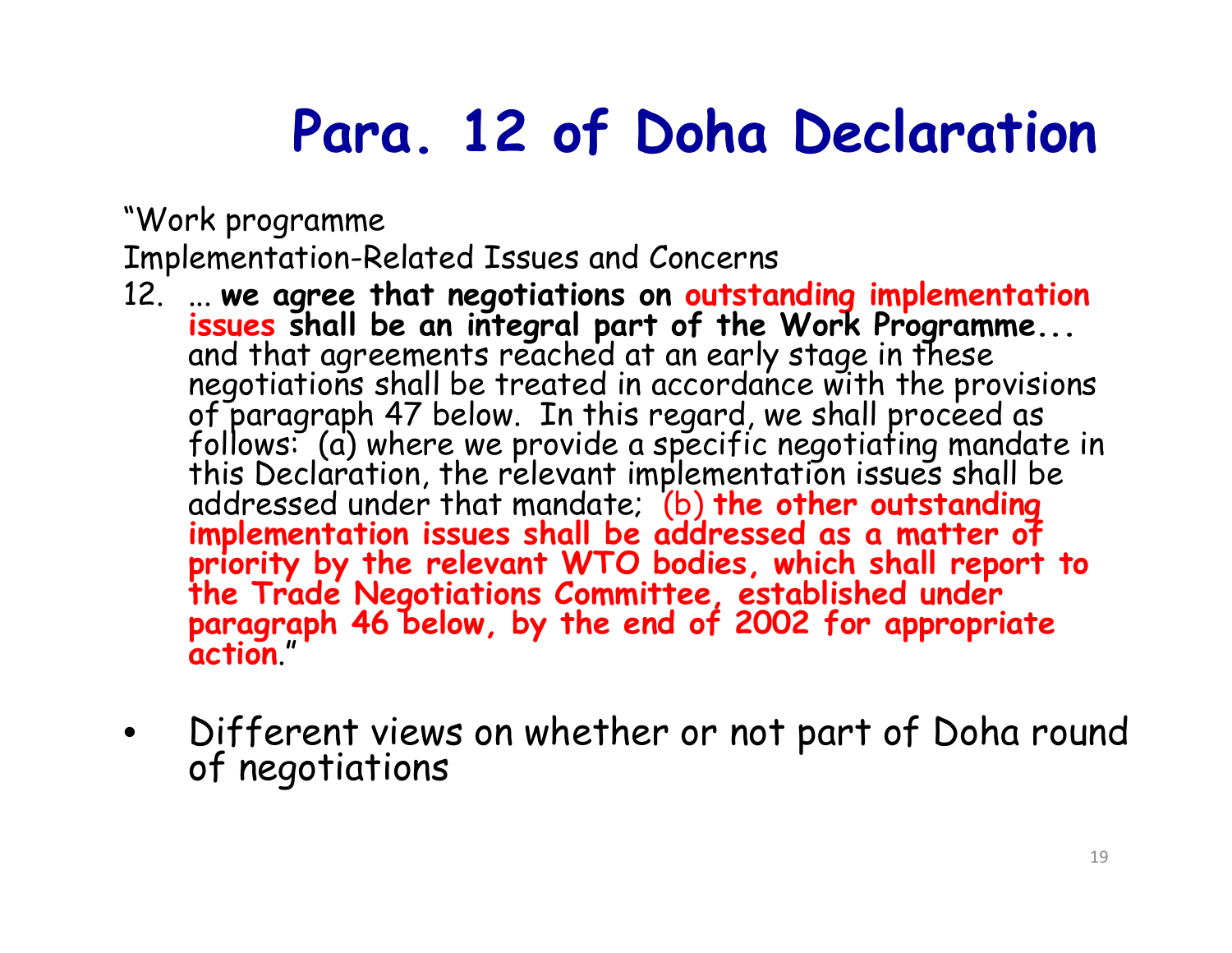## **Para. 12 of Doha Declaration**

"Work programme

Implementation-Related Issues and Concerns

- 12. ... we agree that negotiations on **outstanding implementation**<br>issues shall be an integral part of the Work Programme...<br>and that agreements reached at an early stage in these<br>negotiations shall be treated in accordan
- •Different views on whether or not part of Doha round of negotiations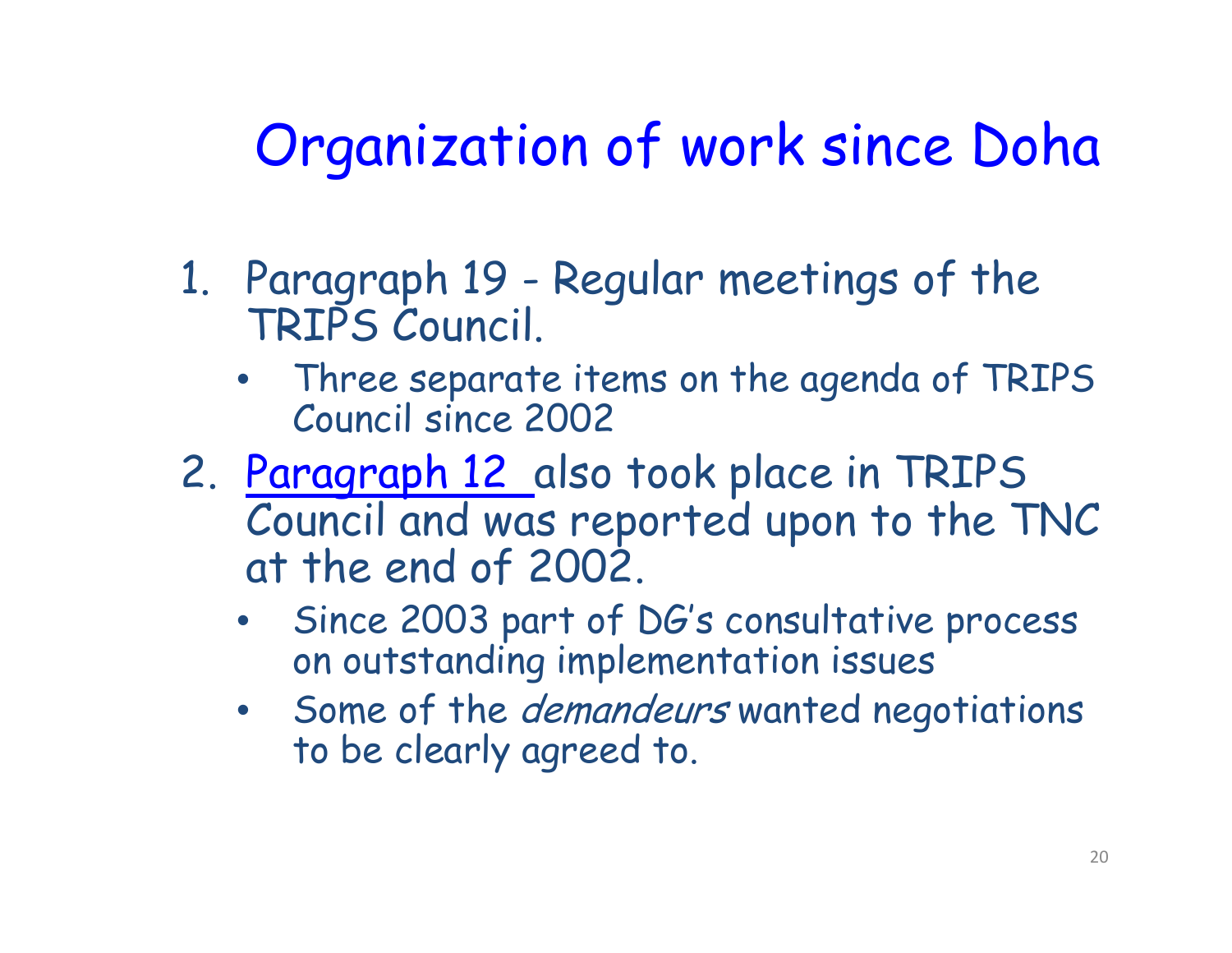## Organization of work since Doha

- 1. Paragraph 19 Regular meetings of the TRIPS Council.
	- • Three separate items on the agenda of TRIPS Council since 2002
- 2. Paragraph 12 also took place in TRIPS Council and was reported upon to the TNC at the end of 2002.
	- • Since 2003 part of DG's consultative process on outstanding implementation issues
	- Some of the *demandeurs* wanted negotiations to be clearly agreed to.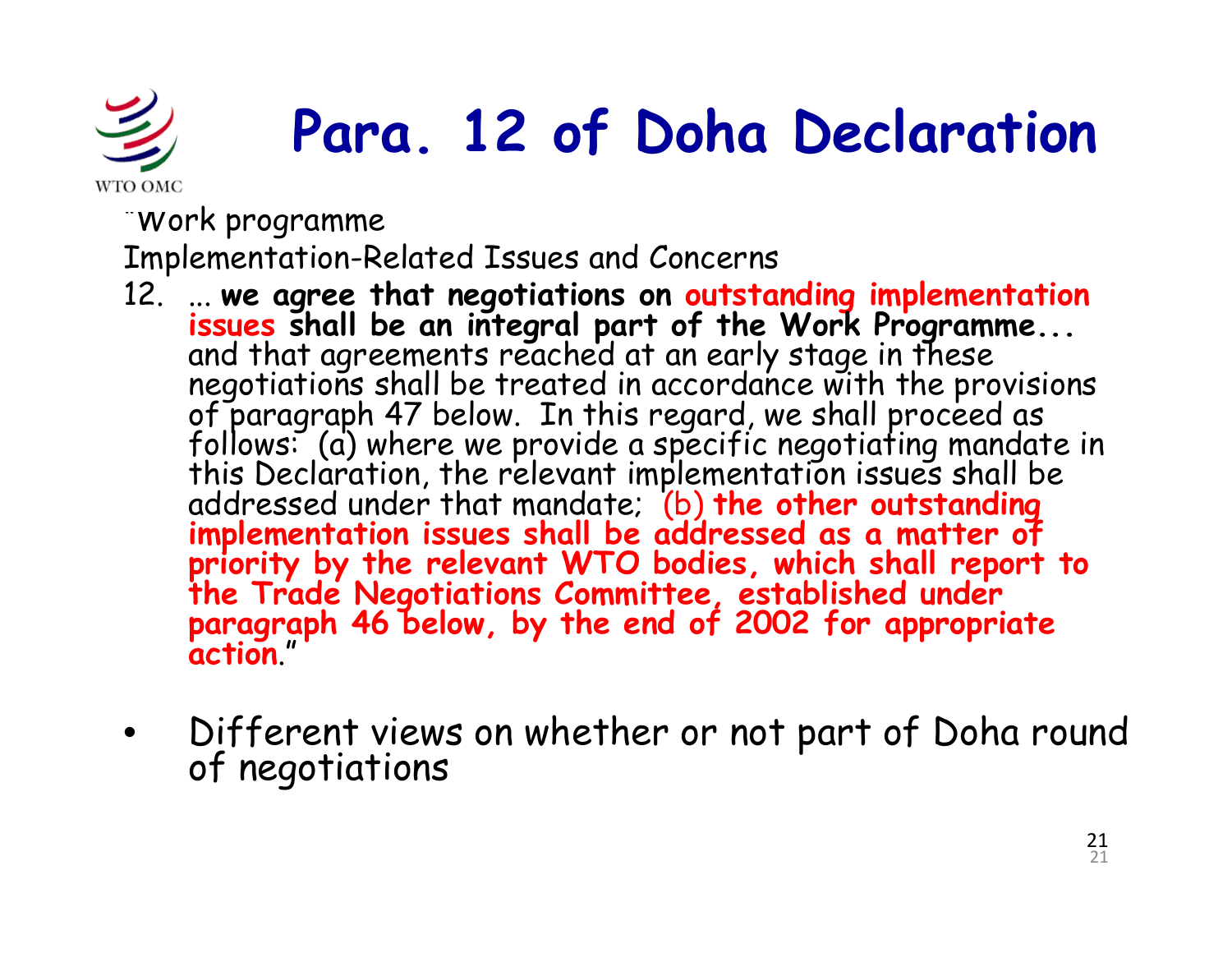![](_page_20_Picture_0.jpeg)

# **Para. 12 of Doha Declaration**

"Work programme

Implementation-Related Issues and Concerns

- 12. ... we agree that negotiations on **outstanding implementation**<br>issues shall be an integral part of the Work Programme...<br>and that agreements reached at an early stage in these<br>negotiations shall be treated in accordan
- •Different views on whether or not part of Doha round of negotiations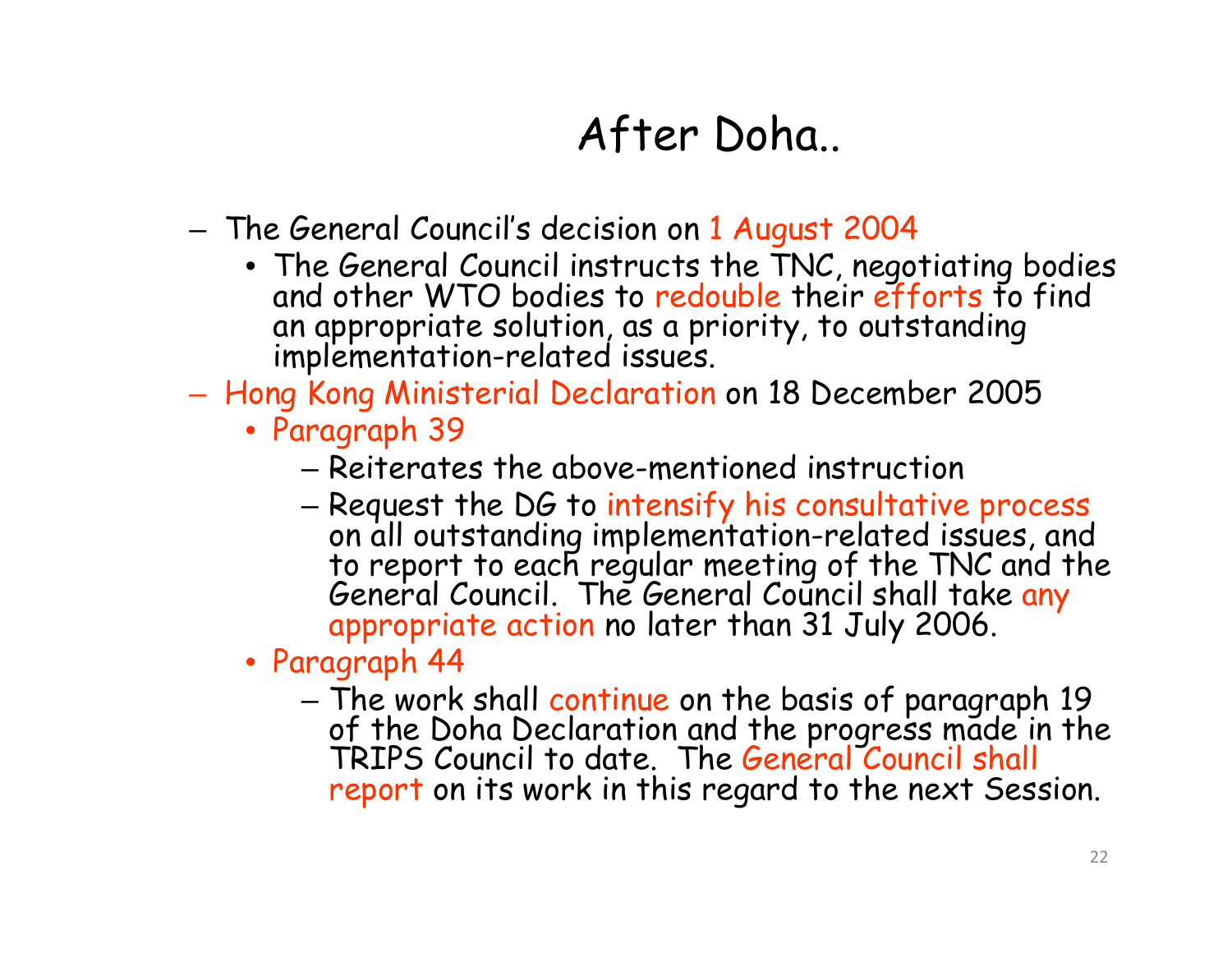#### After Doha..

- The General Council's decision on 1 August 2004
	- The General Council instructs the TNC, negotiating bodies<br>and other WTO bodies to redouble their efforts to find an appropriate solution, as a priority, to outstanding implementation-related issues.
- $-$  Hong Kong Ministerial Declaration on 18 December 2005
	- Paragraph 39
		- Reiterates the above-mentioned instruction
		- Request the DG to intensify his consultative process – Request the DG to intensify his consultative process<br>on all outstanding implementation-related issues, and to report to each regular meeting of the TNC and the<br>General Council. The General Council shall take <mark>any</mark><br>appropriate action no later than 31 July 2006.
	- Paragraph 44
		- The work shall continue on the basis of paragraph 19 of the Doha Declaration and the progress made in the<br>TRIPS Council to date. The General Council shall report on its work in this regard to the next Session.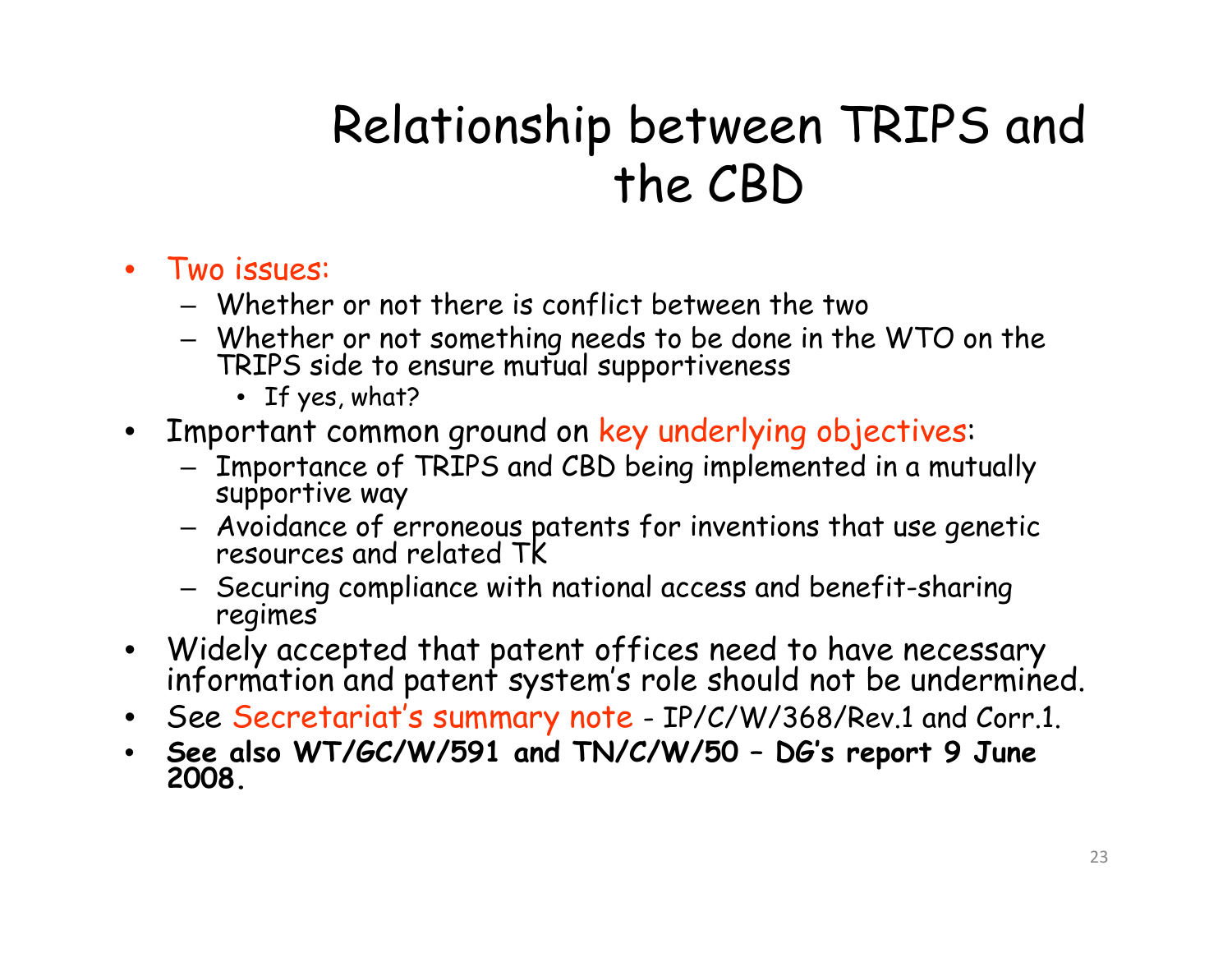## Relationship between TRIPS and the CBD

- Two issues:
	- $-$  Whether or not there is conflict between the two
	- Whether or not something needs to be done in the WTO on the TRIPS side to ensure mutual supportiveness
		- If yes, what?
- Important common ground on key underlying ob jectives:
	- Importance of TRIPS and CBD being implemented in a mutually<br>supportive way
	- Avoidance of erroneous patents for inventions that use genetic resources and related TK
	- Securing compliance with national access and benefit-sharing regimes
- Widely accepted that patent offices need to have necessary information and patent system's role should not be undermined.
- •See Secretariat's summary note - IP/C/W/368/Rev.1 and Corr.1.
- **See also WT/GC/W/591 and TN/C/W/50 – DG's report 9 June 2008.**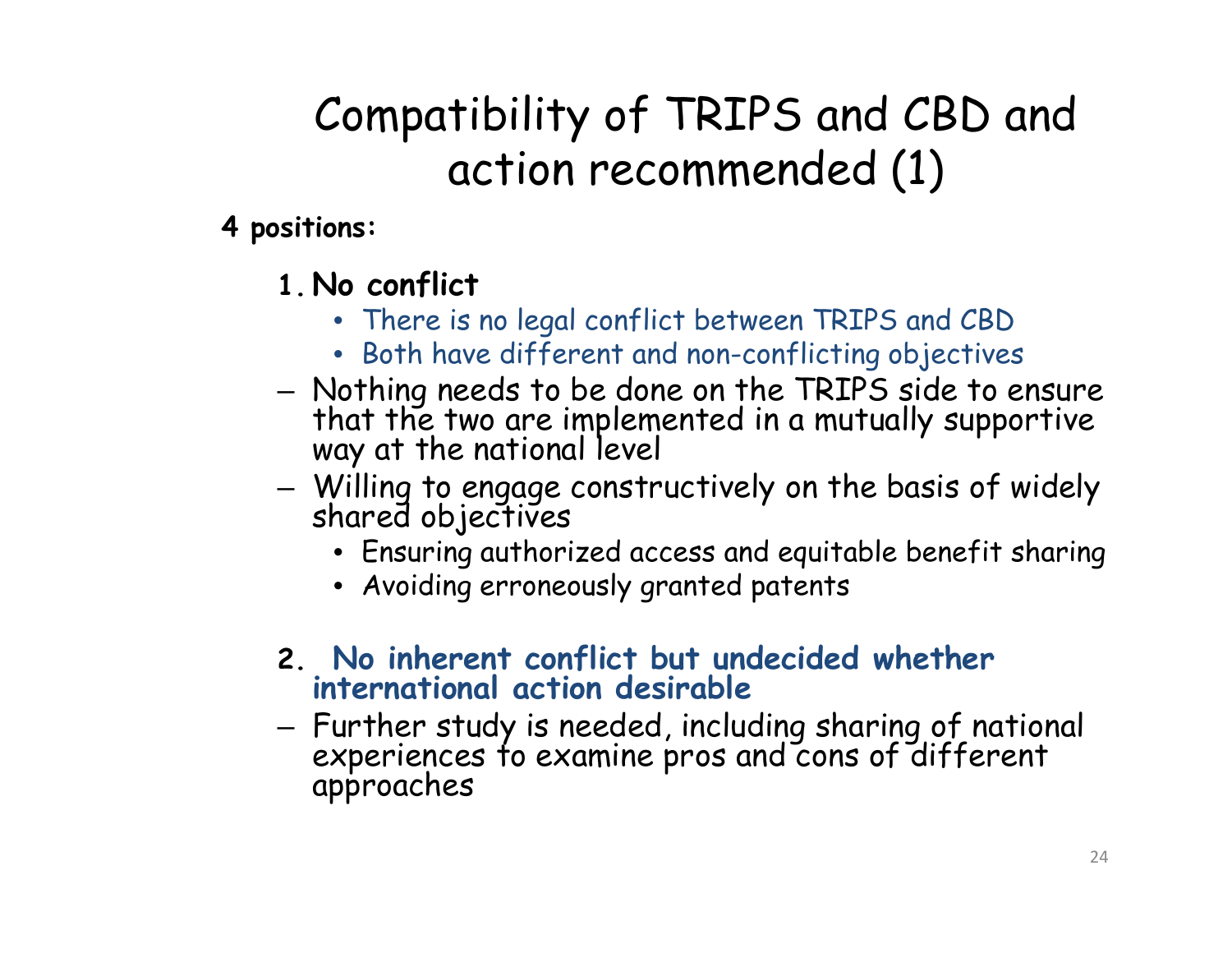### Compatibility of TRIPS and CBD and action recommended (1)

#### **4 positions:**

- **1. No conflict**
	- There is no legal conflict between TRIPS and CBD
	- Both have different and non-conflicting objectives
- Nothing needs to be done on the TRIPS side to ensure that the two are implemented in a mutually supportive way at the national level
- –— Willing to engage constructively on the basis of widely<br>shared objectives shared objectives
	- Ensuring authorized access and equitable benefit sharing
	- Avoiding erroneously granted patents
- **2. No inherent conflict but undecided whether international action desirable**
- – Further study is needed, including sharing of national experiences to examine pros and cons of different h approaches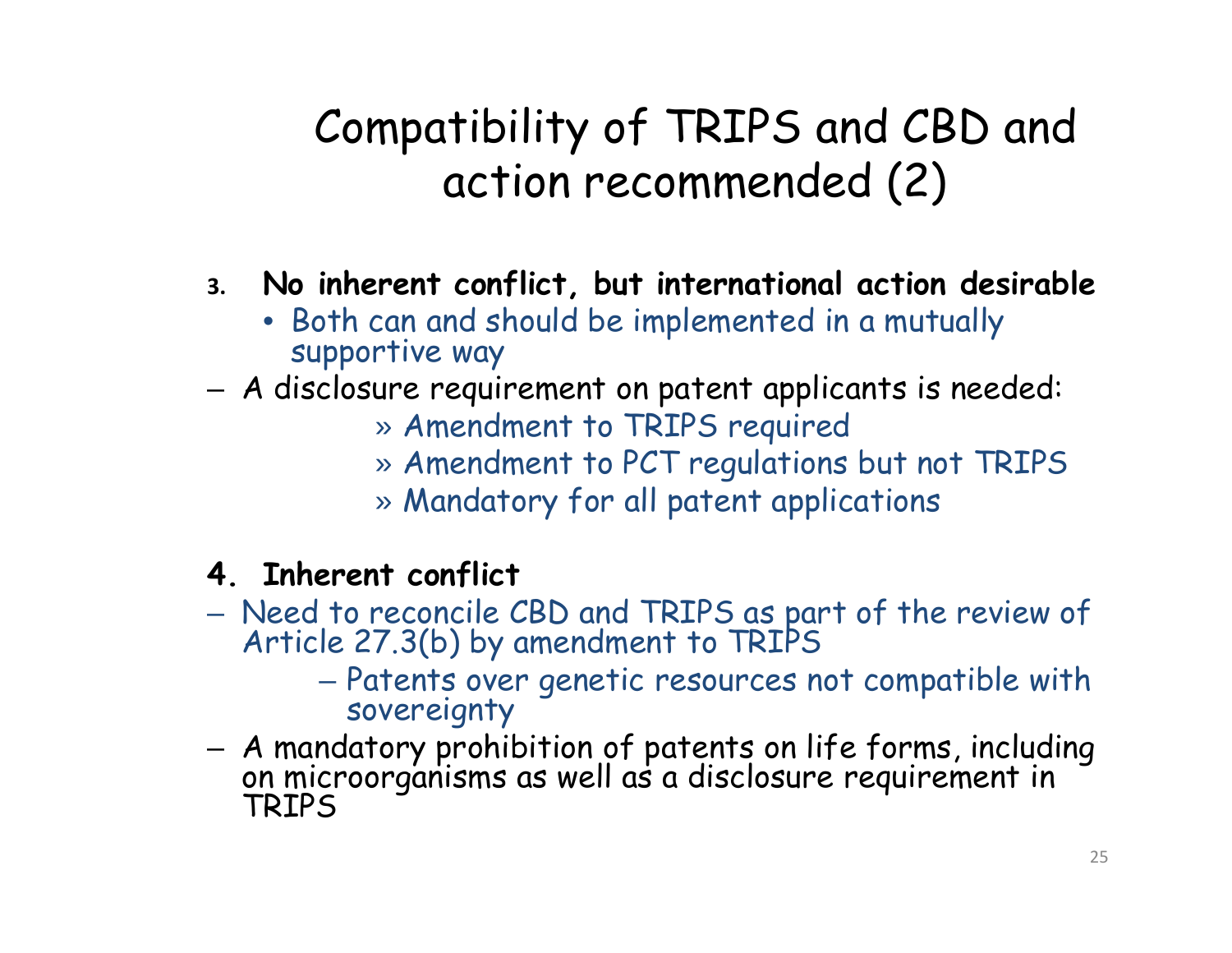#### Compatibility of TRIPS and CBD and action recommended (2)

- **3. No inherent con f , lict but international action desirable**
	- Both can and should be implemented in a mutually supportive way
- A disclosure requirement on patent applicants is needed:
	- » Amendment to TRIPS required
	- » Amendment to PCT regulations but not TRIPS
	- » Mandatory for all patent applications
- **4. Inherent conflict**
- Need to reconcile CBD and TRIPS as part of the review of<br>Article 27.3(b) by amendment to TRIPS (b) by amendment to TRIPS
	- Patents over genetic resources not compatible with sovereignty
- A mandatory prohibition of patents on life forms, including on microorganisms as well as a disclosure requirement in TRIPS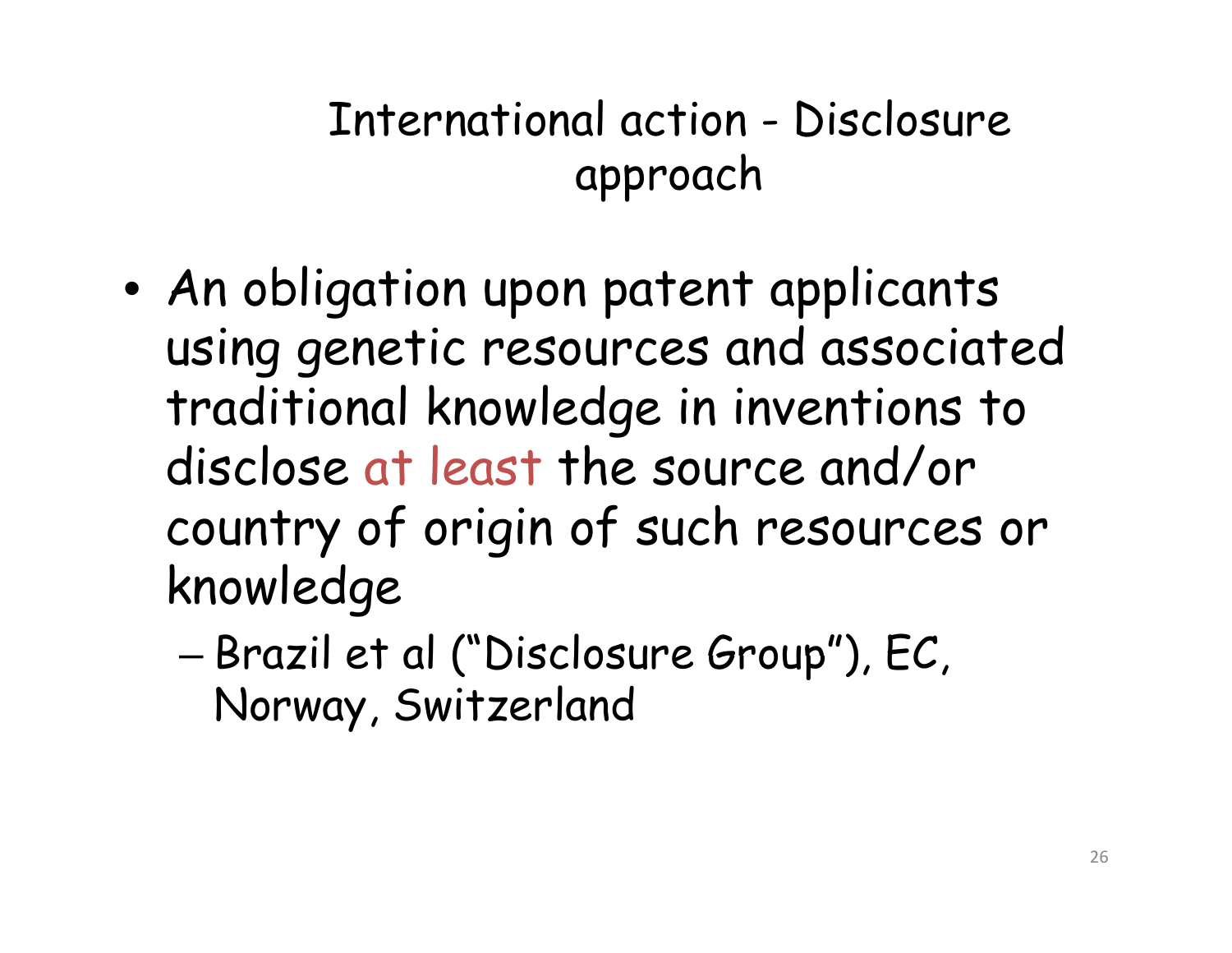#### International action - Disclosure approach

- $\bullet$  An obligation upon patent applicants using genetic resources and associated traditional knowledge in inventions to disclose at least the source and/or country of origin of such resources or knowledge
	- Brazil et al ("Disclosure Group"), EC, Norway, Switzerland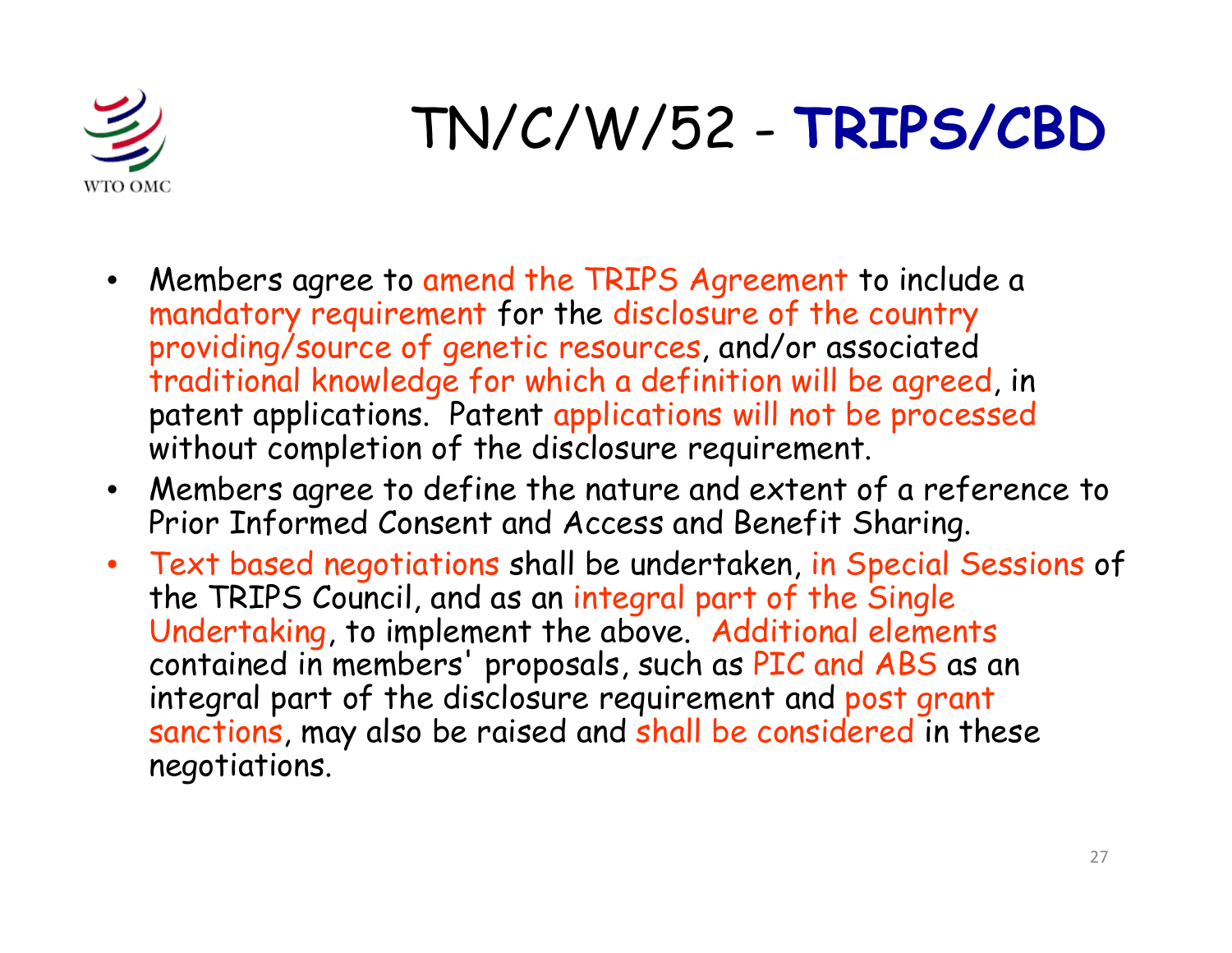![](_page_26_Picture_0.jpeg)

## TN/C/W/52 - **TRIPS/CBD**

- $\bullet$  Members agree to amend the TRIPS Agreement to include a mandatory requirement for the disclosure of the country providing/source of genetic resources, and/or associated traditional knowledge for which a definition will be agreed, in patent applications. Patent applications will not be processed without completion of the disclosure requirement.
- $\bullet$  Members agree to define the nature and extent of a reference to Prior Informed Consent and Access and Benefit Sharing.
- $\bullet$  Text based negotiations shall be undertaken, in Special Sessions of the TRIPS Council, and as an integral part of the Single Undertaking, to implement the above. Additional elements contained in members' proposals, such as PIC and ABS as an integral part of the disclosure requirement and post grant sanctions, may also be raised and shall be considered in these negotiations.